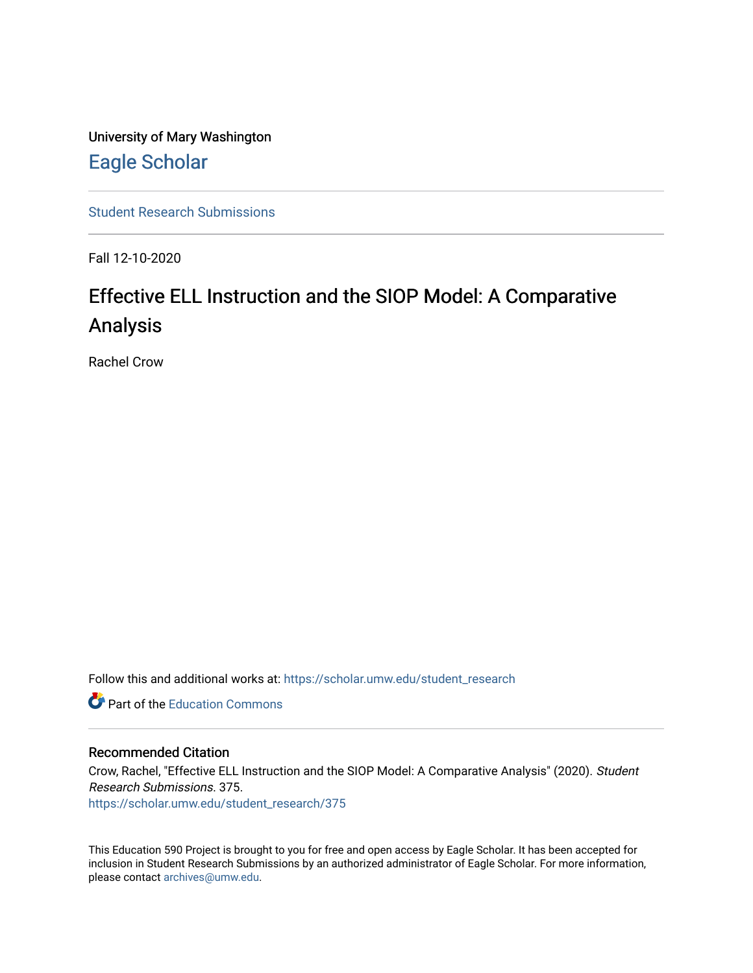University of Mary Washington [Eagle Scholar](https://scholar.umw.edu/) 

[Student Research Submissions](https://scholar.umw.edu/student_research) 

Fall 12-10-2020

# Effective ELL Instruction and the SIOP Model: A Comparative Analysis

Rachel Crow

Follow this and additional works at: [https://scholar.umw.edu/student\\_research](https://scholar.umw.edu/student_research?utm_source=scholar.umw.edu%2Fstudent_research%2F375&utm_medium=PDF&utm_campaign=PDFCoverPages)

**C** Part of the [Education Commons](http://network.bepress.com/hgg/discipline/784?utm_source=scholar.umw.edu%2Fstudent_research%2F375&utm_medium=PDF&utm_campaign=PDFCoverPages)

### Recommended Citation

Crow, Rachel, "Effective ELL Instruction and the SIOP Model: A Comparative Analysis" (2020). Student Research Submissions. 375.

[https://scholar.umw.edu/student\\_research/375](https://scholar.umw.edu/student_research/375?utm_source=scholar.umw.edu%2Fstudent_research%2F375&utm_medium=PDF&utm_campaign=PDFCoverPages)

This Education 590 Project is brought to you for free and open access by Eagle Scholar. It has been accepted for inclusion in Student Research Submissions by an authorized administrator of Eagle Scholar. For more information, please contact [archives@umw.edu.](mailto:archives@umw.edu)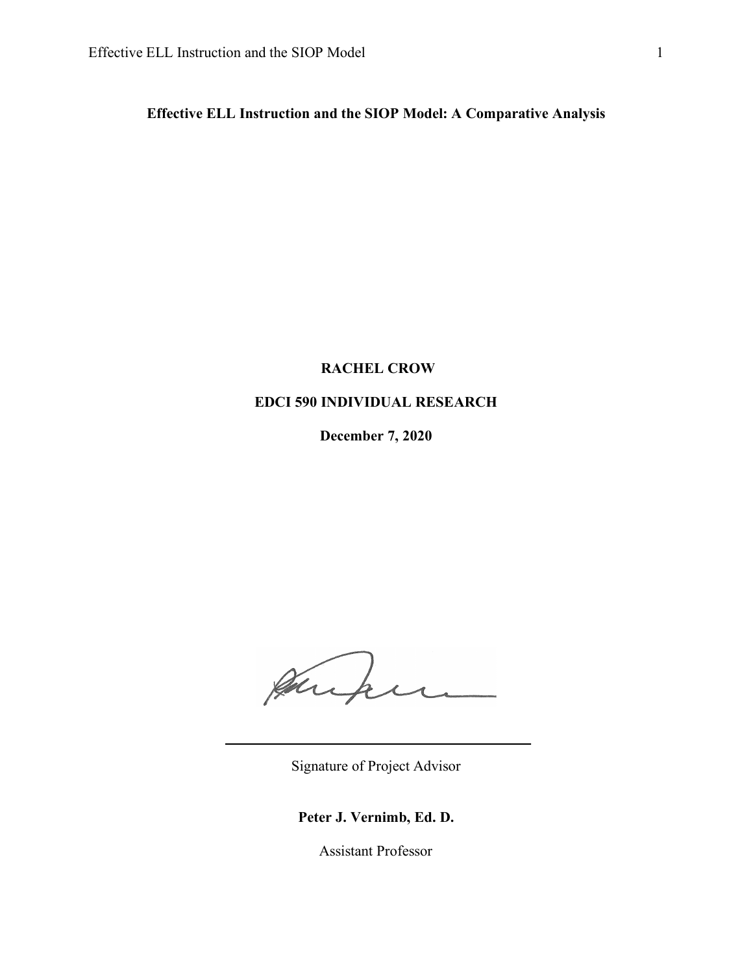**Effective ELL Instruction and the SIOP Model: A Comparative Analysis**

# **RACHEL CROW**

# **EDCI 590 INDIVIDUAL RESEARCH**

**December 7, 2020**

Junken

Signature of Project Advisor

# **Peter J. Vernimb, Ed. D.**

Assistant Professor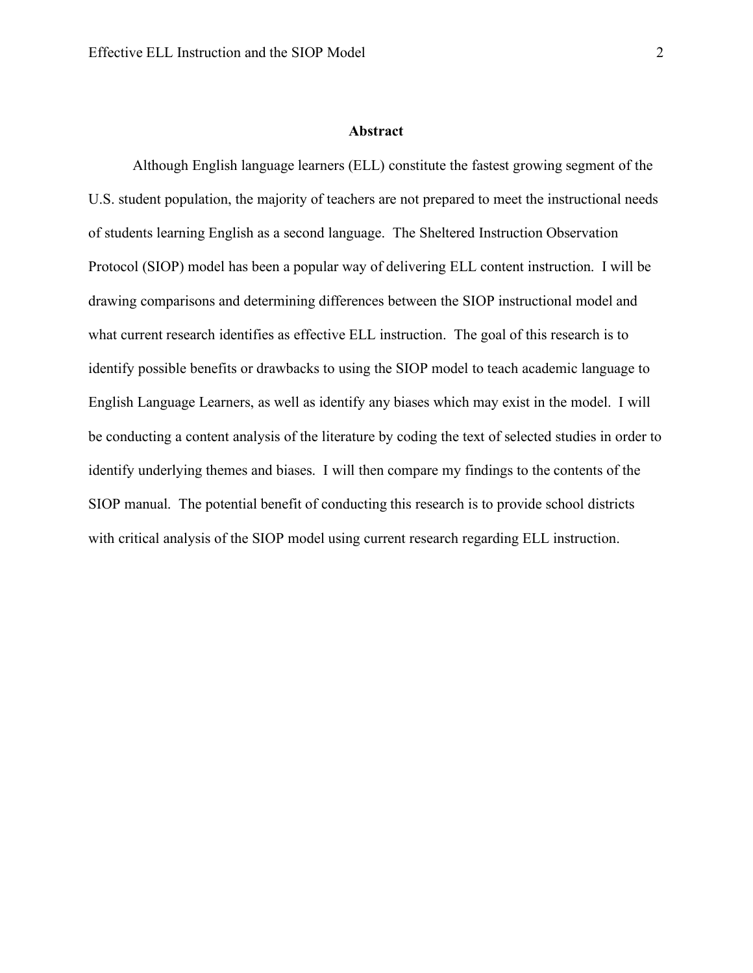#### **Abstract**

Although English language learners (ELL) constitute the fastest growing segment of the U.S. student population, the majority of teachers are not prepared to meet the instructional needs of students learning English as a second language. The Sheltered Instruction Observation Protocol (SIOP) model has been a popular way of delivering ELL content instruction. I will be drawing comparisons and determining differences between the SIOP instructional model and what current research identifies as effective ELL instruction. The goal of this research is to identify possible benefits or drawbacks to using the SIOP model to teach academic language to English Language Learners, as well as identify any biases which may exist in the model. I will be conducting a content analysis of the literature by coding the text of selected studies in order to identify underlying themes and biases. I will then compare my findings to the contents of the SIOP manual. The potential benefit of conducting this research is to provide school districts with critical analysis of the SIOP model using current research regarding ELL instruction.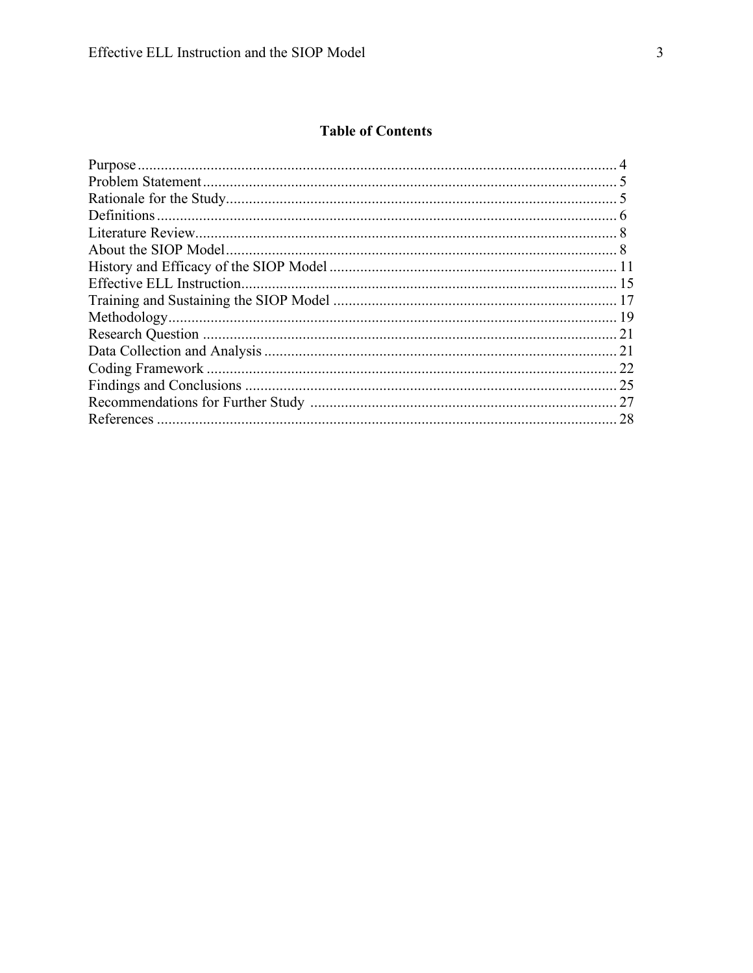# **Table of Contents**

| 22 |
|----|
| 25 |
| 27 |
| 28 |
|    |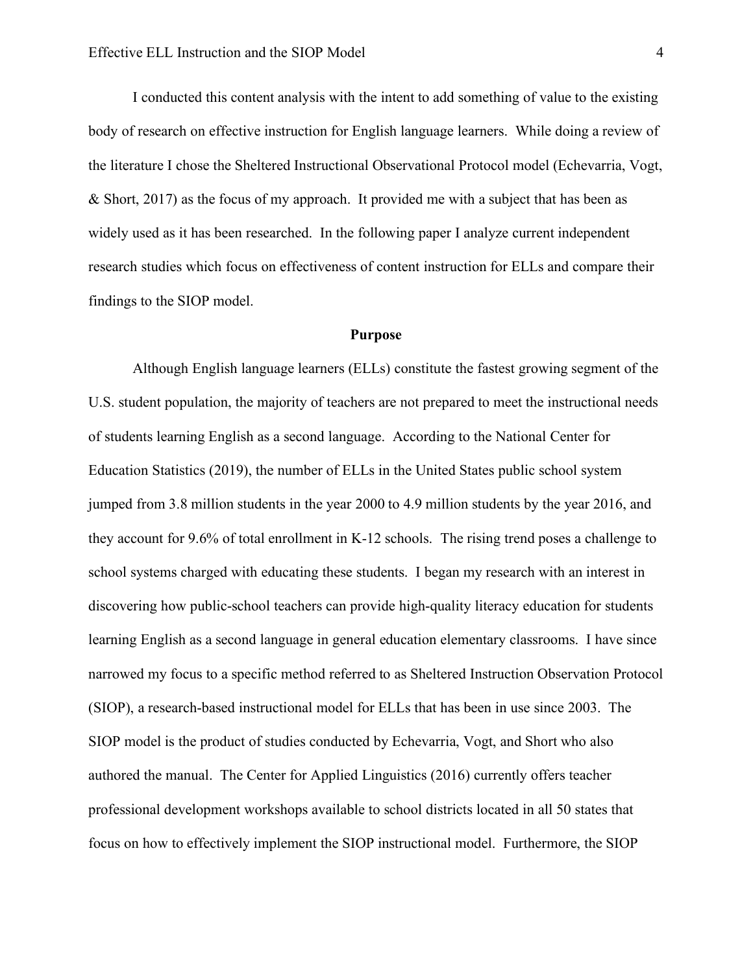I conducted this content analysis with the intent to add something of value to the existing body of research on effective instruction for English language learners. While doing a review of the literature I chose the Sheltered Instructional Observational Protocol model (Echevarria, Vogt, & Short, 2017) as the focus of my approach. It provided me with a subject that has been as widely used as it has been researched. In the following paper I analyze current independent research studies which focus on effectiveness of content instruction for ELLs and compare their findings to the SIOP model.

### **Purpose**

Although English language learners (ELLs) constitute the fastest growing segment of the U.S. student population, the majority of teachers are not prepared to meet the instructional needs of students learning English as a second language. According to the National Center for Education Statistics (2019), the number of ELLs in the United States public school system jumped from 3.8 million students in the year 2000 to 4.9 million students by the year 2016, and they account for 9.6% of total enrollment in K-12 schools. The rising trend poses a challenge to school systems charged with educating these students. I began my research with an interest in discovering how public-school teachers can provide high-quality literacy education for students learning English as a second language in general education elementary classrooms. I have since narrowed my focus to a specific method referred to as Sheltered Instruction Observation Protocol (SIOP), a research-based instructional model for ELLs that has been in use since 2003. The SIOP model is the product of studies conducted by Echevarria, Vogt, and Short who also authored the manual. The Center for Applied Linguistics (2016) currently offers teacher professional development workshops available to school districts located in all 50 states that focus on how to effectively implement the SIOP instructional model. Furthermore, the SIOP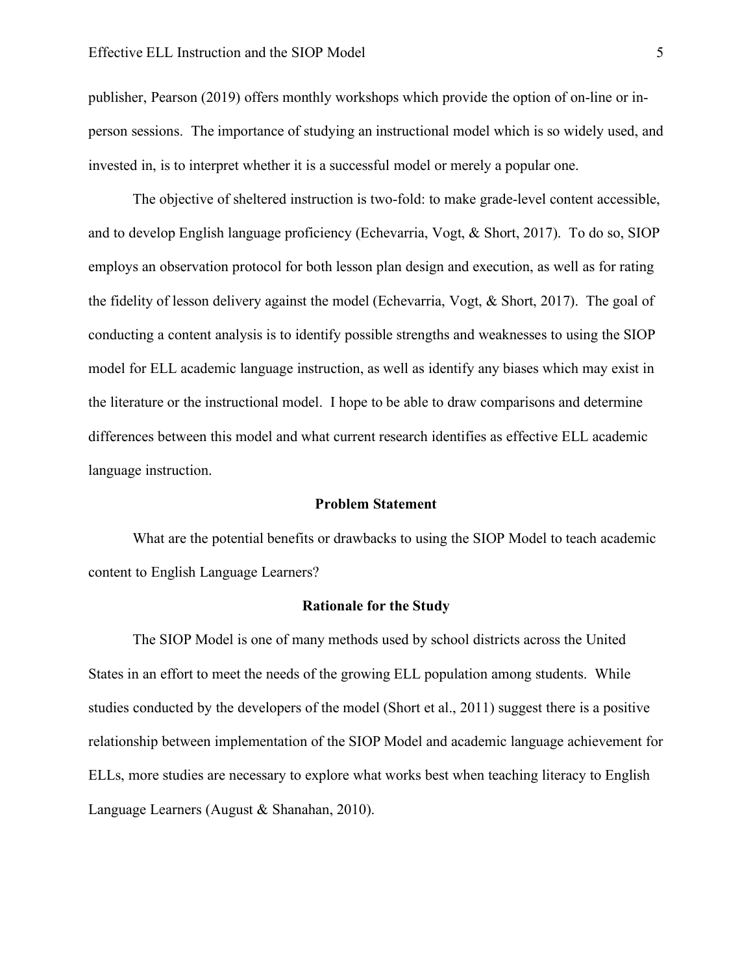publisher, Pearson (2019) offers monthly workshops which provide the option of on-line or inperson sessions. The importance of studying an instructional model which is so widely used, and invested in, is to interpret whether it is a successful model or merely a popular one.

The objective of sheltered instruction is two-fold: to make grade-level content accessible, and to develop English language proficiency (Echevarria, Vogt, & Short, 2017). To do so, SIOP employs an observation protocol for both lesson plan design and execution, as well as for rating the fidelity of lesson delivery against the model (Echevarria, Vogt, & Short, 2017). The goal of conducting a content analysis is to identify possible strengths and weaknesses to using the SIOP model for ELL academic language instruction, as well as identify any biases which may exist in the literature or the instructional model. I hope to be able to draw comparisons and determine differences between this model and what current research identifies as effective ELL academic language instruction.

#### **Problem Statement**

What are the potential benefits or drawbacks to using the SIOP Model to teach academic content to English Language Learners?

#### **Rationale for the Study**

The SIOP Model is one of many methods used by school districts across the United States in an effort to meet the needs of the growing ELL population among students. While studies conducted by the developers of the model (Short et al., 2011) suggest there is a positive relationship between implementation of the SIOP Model and academic language achievement for ELLs, more studies are necessary to explore what works best when teaching literacy to English Language Learners (August & Shanahan, 2010).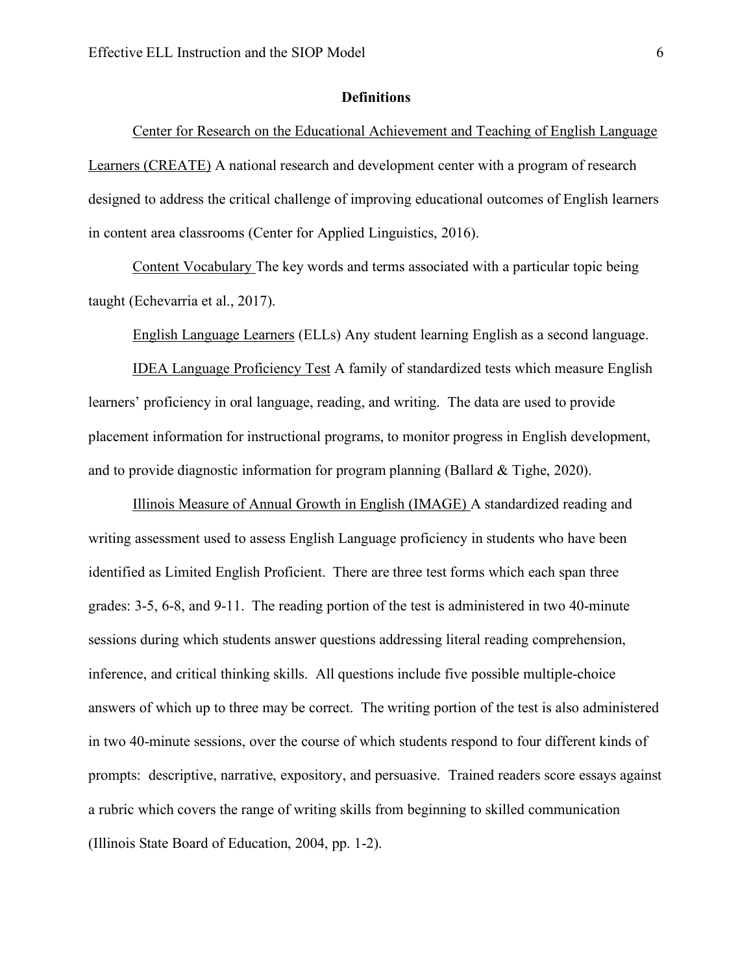#### **Definitions**

Center for Research on the Educational Achievement and Teaching of English Language Learners (CREATE) A national research and development center with a program of research designed to address the critical challenge of improving educational outcomes of English learners in content area classrooms (Center for Applied Linguistics, 2016).

Content Vocabulary The key words and terms associated with a particular topic being taught (Echevarria et al., 2017).

English Language Learners (ELLs) Any student learning English as a second language.

IDEA Language Proficiency Test A family of standardized tests which measure English learners' proficiency in oral language, reading, and writing. The data are used to provide placement information for instructional programs, to monitor progress in English development, and to provide diagnostic information for program planning (Ballard  $&$  Tighe, 2020).

Illinois Measure of Annual Growth in English (IMAGE) A standardized reading and writing assessment used to assess English Language proficiency in students who have been identified as Limited English Proficient. There are three test forms which each span three grades: 3-5, 6-8, and 9-11. The reading portion of the test is administered in two 40-minute sessions during which students answer questions addressing literal reading comprehension, inference, and critical thinking skills. All questions include five possible multiple-choice answers of which up to three may be correct. The writing portion of the test is also administered in two 40-minute sessions, over the course of which students respond to four different kinds of prompts: descriptive, narrative, expository, and persuasive. Trained readers score essays against a rubric which covers the range of writing skills from beginning to skilled communication (Illinois State Board of Education, 2004, pp. 1-2).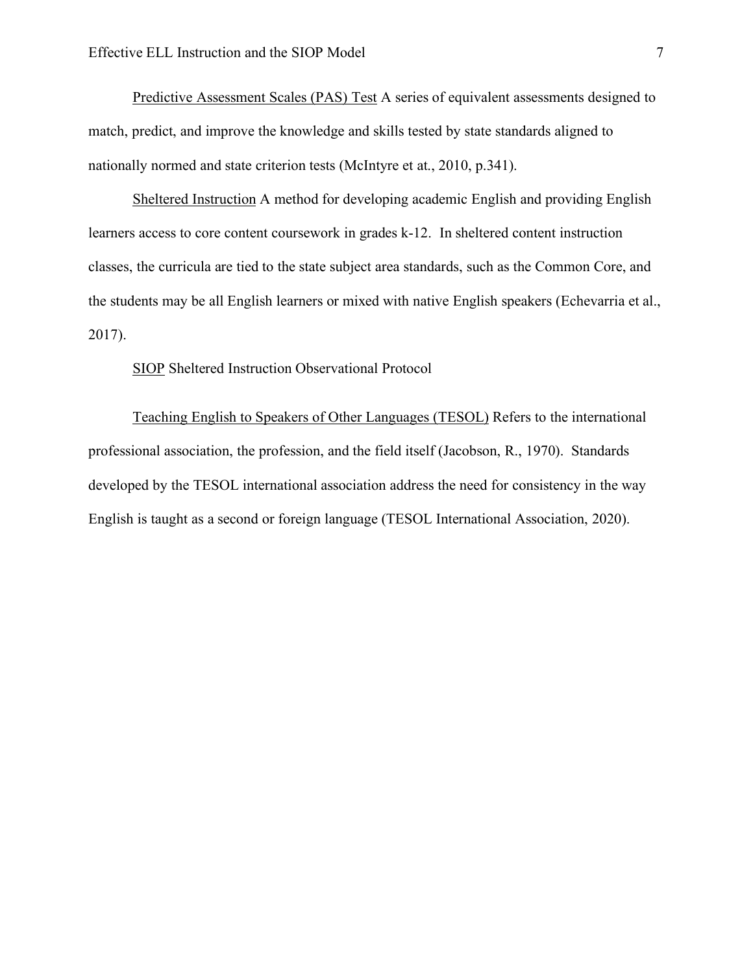Predictive Assessment Scales (PAS) Test A series of equivalent assessments designed to match, predict, and improve the knowledge and skills tested by state standards aligned to nationally normed and state criterion tests (McIntyre et at., 2010, p.341).

Sheltered Instruction A method for developing academic English and providing English learners access to core content coursework in grades k-12. In sheltered content instruction classes, the curricula are tied to the state subject area standards, such as the Common Core, and the students may be all English learners or mixed with native English speakers (Echevarria et al., 2017).

SIOP Sheltered Instruction Observational Protocol

Teaching English to Speakers of Other Languages (TESOL) Refers to the international professional association, the profession, and the field itself (Jacobson, R., 1970). Standards developed by the TESOL international association address the need for consistency in the way English is taught as a second or foreign language (TESOL International Association, 2020).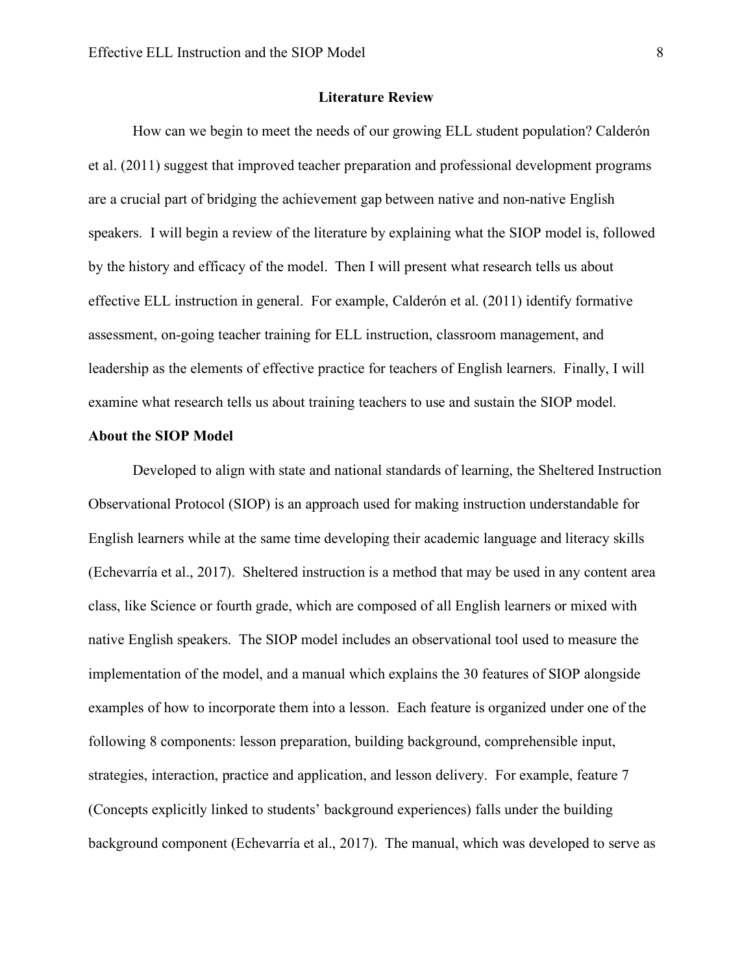#### **Literature Review**

How can we begin to meet the needs of our growing ELL student population? Calderón et al. (2011) suggest that improved teacher preparation and professional development programs are a crucial part of bridging the achievement gap between native and non-native English speakers. I will begin a review of the literature by explaining what the SIOP model is, followed by the history and efficacy of the model. Then I will present what research tells us about effective ELL instruction in general. For example, Calderón et al. (2011) identify formative assessment, on-going teacher training for ELL instruction, classroom management, and leadership as the elements of effective practice for teachers of English learners. Finally, I will examine what research tells us about training teachers to use and sustain the SIOP model.

# **About the SIOP Model**

Developed to align with state and national standards of learning, the Sheltered Instruction Observational Protocol (SIOP) is an approach used for making instruction understandable for English learners while at the same time developing their academic language and literacy skills (Echevarría et al., 2017). Sheltered instruction is a method that may be used in any content area class, like Science or fourth grade, which are composed of all English learners or mixed with native English speakers. The SIOP model includes an observational tool used to measure the implementation of the model, and a manual which explains the 30 features of SIOP alongside examples of how to incorporate them into a lesson. Each feature is organized under one of the following 8 components: lesson preparation, building background, comprehensible input, strategies, interaction, practice and application, and lesson delivery. For example, feature 7 (Concepts explicitly linked to students' background experiences) falls under the building background component (Echevarría et al., 2017). The manual, which was developed to serve as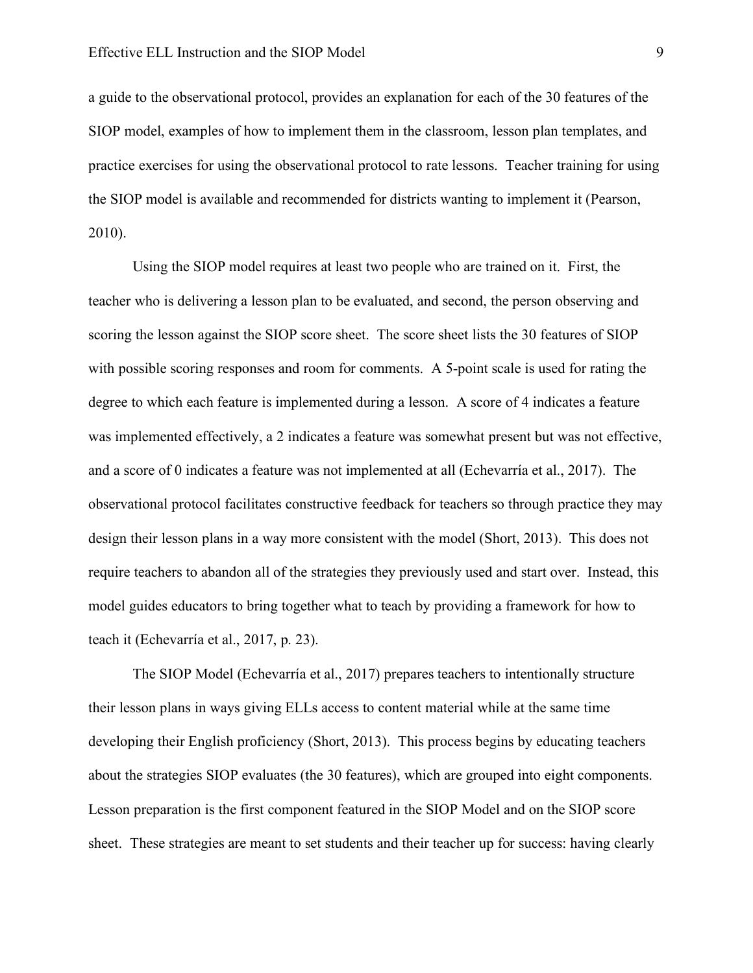a guide to the observational protocol, provides an explanation for each of the 30 features of the SIOP model, examples of how to implement them in the classroom, lesson plan templates, and practice exercises for using the observational protocol to rate lessons. Teacher training for using the SIOP model is available and recommended for districts wanting to implement it (Pearson, 2010).

Using the SIOP model requires at least two people who are trained on it. First, the teacher who is delivering a lesson plan to be evaluated, and second, the person observing and scoring the lesson against the SIOP score sheet. The score sheet lists the 30 features of SIOP with possible scoring responses and room for comments. A 5-point scale is used for rating the degree to which each feature is implemented during a lesson. A score of 4 indicates a feature was implemented effectively, a 2 indicates a feature was somewhat present but was not effective, and a score of 0 indicates a feature was not implemented at all (Echevarría et al., 2017). The observational protocol facilitates constructive feedback for teachers so through practice they may design their lesson plans in a way more consistent with the model (Short, 2013). This does not require teachers to abandon all of the strategies they previously used and start over. Instead, this model guides educators to bring together what to teach by providing a framework for how to teach it (Echevarría et al., 2017, p. 23).

The SIOP Model (Echevarría et al., 2017) prepares teachers to intentionally structure their lesson plans in ways giving ELLs access to content material while at the same time developing their English proficiency (Short, 2013). This process begins by educating teachers about the strategies SIOP evaluates (the 30 features), which are grouped into eight components. Lesson preparation is the first component featured in the SIOP Model and on the SIOP score sheet. These strategies are meant to set students and their teacher up for success: having clearly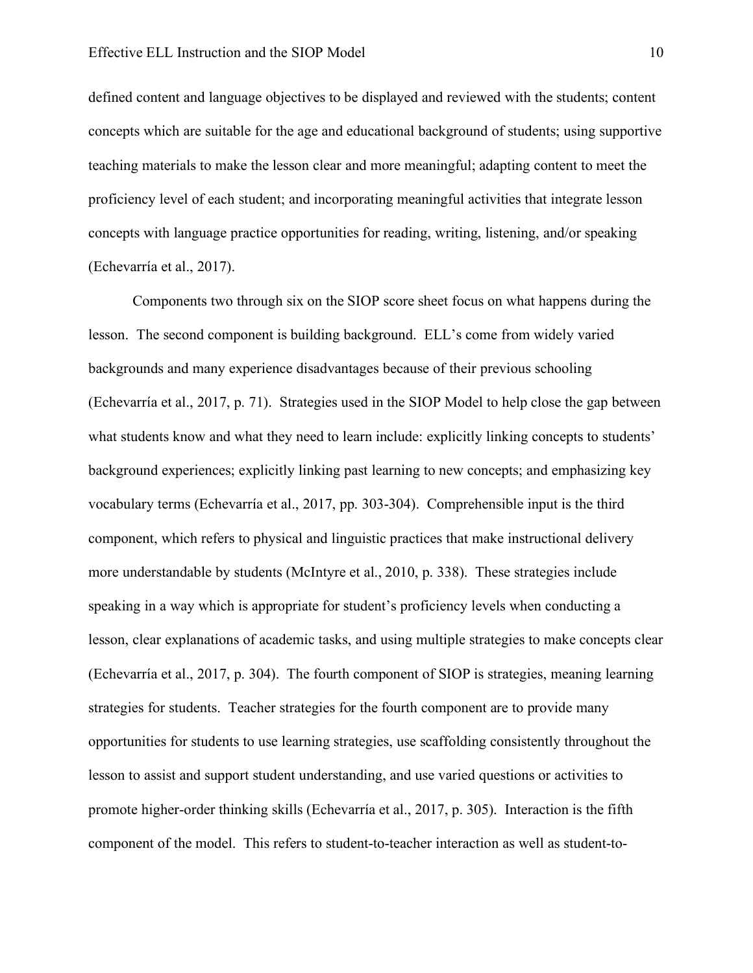defined content and language objectives to be displayed and reviewed with the students; content concepts which are suitable for the age and educational background of students; using supportive teaching materials to make the lesson clear and more meaningful; adapting content to meet the proficiency level of each student; and incorporating meaningful activities that integrate lesson concepts with language practice opportunities for reading, writing, listening, and/or speaking (Echevarría et al., 2017).

Components two through six on the SIOP score sheet focus on what happens during the lesson. The second component is building background. ELL's come from widely varied backgrounds and many experience disadvantages because of their previous schooling (Echevarría et al., 2017, p. 71). Strategies used in the SIOP Model to help close the gap between what students know and what they need to learn include: explicitly linking concepts to students' background experiences; explicitly linking past learning to new concepts; and emphasizing key vocabulary terms (Echevarría et al., 2017, pp. 303-304). Comprehensible input is the third component, which refers to physical and linguistic practices that make instructional delivery more understandable by students (McIntyre et al., 2010, p. 338). These strategies include speaking in a way which is appropriate for student's proficiency levels when conducting a lesson, clear explanations of academic tasks, and using multiple strategies to make concepts clear (Echevarría et al., 2017, p. 304). The fourth component of SIOP is strategies, meaning learning strategies for students. Teacher strategies for the fourth component are to provide many opportunities for students to use learning strategies, use scaffolding consistently throughout the lesson to assist and support student understanding, and use varied questions or activities to promote higher-order thinking skills (Echevarría et al., 2017, p. 305). Interaction is the fifth component of the model. This refers to student-to-teacher interaction as well as student-to-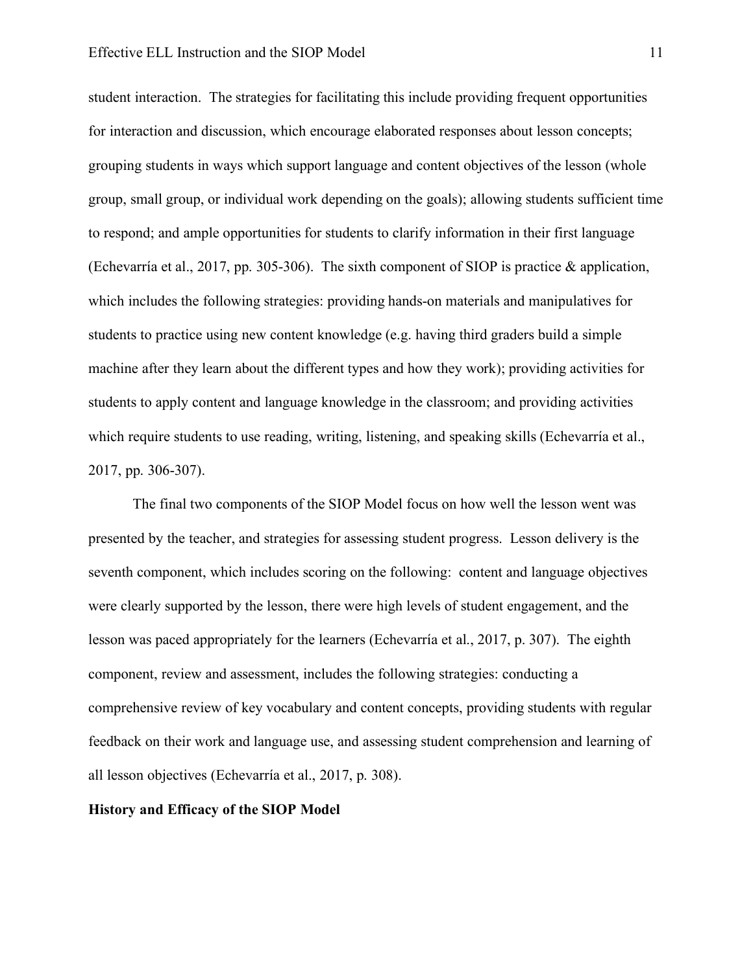#### Effective ELL Instruction and the SIOP Model 11

student interaction. The strategies for facilitating this include providing frequent opportunities for interaction and discussion, which encourage elaborated responses about lesson concepts; grouping students in ways which support language and content objectives of the lesson (whole group, small group, or individual work depending on the goals); allowing students sufficient time to respond; and ample opportunities for students to clarify information in their first language (Echevarría et al., 2017, pp. 305-306). The sixth component of SIOP is practice & application, which includes the following strategies: providing hands-on materials and manipulatives for students to practice using new content knowledge (e.g. having third graders build a simple machine after they learn about the different types and how they work); providing activities for students to apply content and language knowledge in the classroom; and providing activities which require students to use reading, writing, listening, and speaking skills (Echevarría et al., 2017, pp. 306-307).

The final two components of the SIOP Model focus on how well the lesson went was presented by the teacher, and strategies for assessing student progress. Lesson delivery is the seventh component, which includes scoring on the following: content and language objectives were clearly supported by the lesson, there were high levels of student engagement, and the lesson was paced appropriately for the learners (Echevarría et al., 2017, p. 307). The eighth component, review and assessment, includes the following strategies: conducting a comprehensive review of key vocabulary and content concepts, providing students with regular feedback on their work and language use, and assessing student comprehension and learning of all lesson objectives (Echevarría et al., 2017, p. 308).

#### **History and Efficacy of the SIOP Model**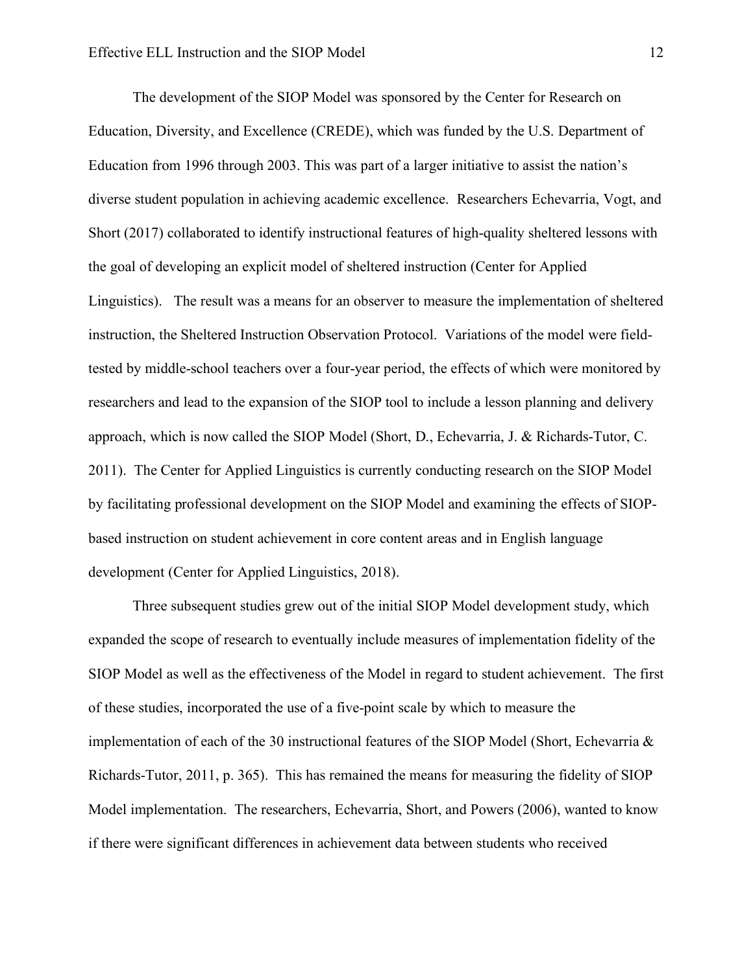The development of the SIOP Model was sponsored by the Center for Research on Education, Diversity, and Excellence (CREDE), which was funded by the U.S. Department of Education from 1996 through 2003. This was part of a larger initiative to assist the nation's diverse student population in achieving academic excellence. Researchers Echevarria, Vogt, and Short (2017) collaborated to identify instructional features of high-quality sheltered lessons with the goal of developing an explicit model of sheltered instruction (Center for Applied Linguistics). The result was a means for an observer to measure the implementation of sheltered instruction, the Sheltered Instruction Observation Protocol. Variations of the model were fieldtested by middle-school teachers over a four-year period, the effects of which were monitored by researchers and lead to the expansion of the SIOP tool to include a lesson planning and delivery approach, which is now called the SIOP Model (Short, D., Echevarria, J. & Richards-Tutor, C. 2011). The Center for Applied Linguistics is currently conducting research on the SIOP Model by facilitating professional development on the SIOP Model and examining the effects of SIOPbased instruction on student achievement in core content areas and in English language development (Center for Applied Linguistics, 2018).

Three subsequent studies grew out of the initial SIOP Model development study, which expanded the scope of research to eventually include measures of implementation fidelity of the SIOP Model as well as the effectiveness of the Model in regard to student achievement. The first of these studies, incorporated the use of a five-point scale by which to measure the implementation of each of the 30 instructional features of the SIOP Model (Short, Echevarria  $\&$ Richards-Tutor, 2011, p. 365). This has remained the means for measuring the fidelity of SIOP Model implementation. The researchers, Echevarria, Short, and Powers (2006), wanted to know if there were significant differences in achievement data between students who received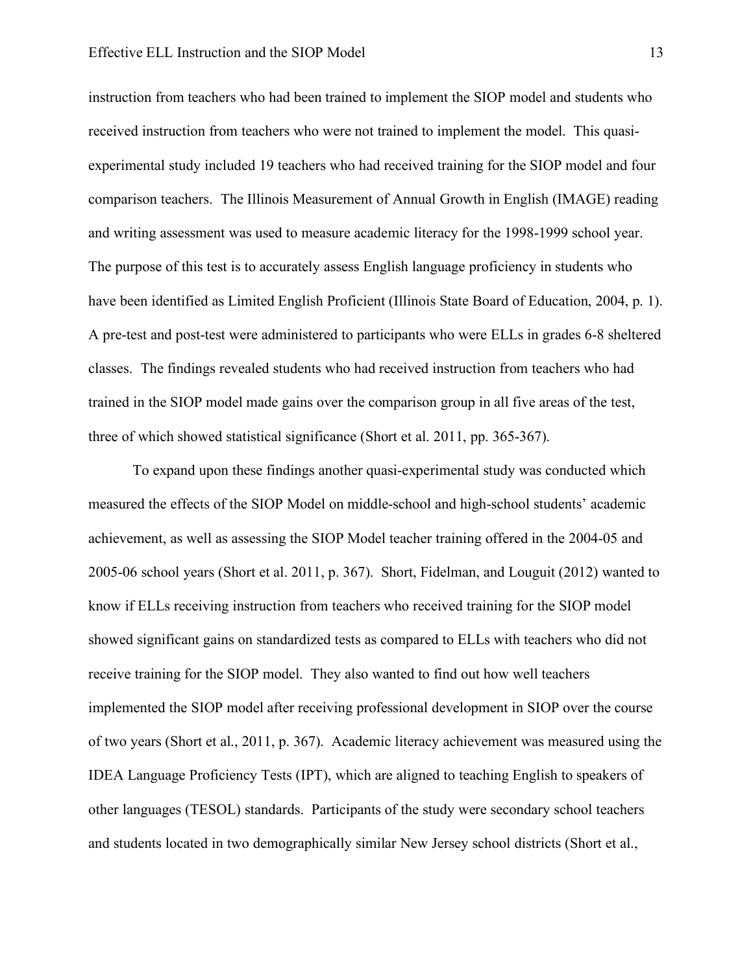instruction from teachers who had been trained to implement the SIOP model and students who received instruction from teachers who were not trained to implement the model. This quasiexperimental study included 19 teachers who had received training for the SIOP model and four comparison teachers. The Illinois Measurement of Annual Growth in English (IMAGE) reading and writing assessment was used to measure academic literacy for the 1998-1999 school year. The purpose of this test is to accurately assess English language proficiency in students who have been identified as Limited English Proficient (Illinois State Board of Education, 2004, p. 1). A pre-test and post-test were administered to participants who were ELLs in grades 6-8 sheltered classes. The findings revealed students who had received instruction from teachers who had trained in the SIOP model made gains over the comparison group in all five areas of the test, three of which showed statistical significance (Short et al. 2011, pp. 365-367).

To expand upon these findings another quasi-experimental study was conducted which measured the effects of the SIOP Model on middle-school and high-school students' academic achievement, as well as assessing the SIOP Model teacher training offered in the 2004-05 and 2005-06 school years (Short et al. 2011, p. 367). Short, Fidelman, and Louguit (2012) wanted to know if ELLs receiving instruction from teachers who received training for the SIOP model showed significant gains on standardized tests as compared to ELLs with teachers who did not receive training for the SIOP model. They also wanted to find out how well teachers implemented the SIOP model after receiving professional development in SIOP over the course of two years (Short et al., 2011, p. 367). Academic literacy achievement was measured using the IDEA Language Proficiency Tests (IPT), which are aligned to teaching English to speakers of other languages (TESOL) standards. Participants of the study were secondary school teachers and students located in two demographically similar New Jersey school districts (Short et al.,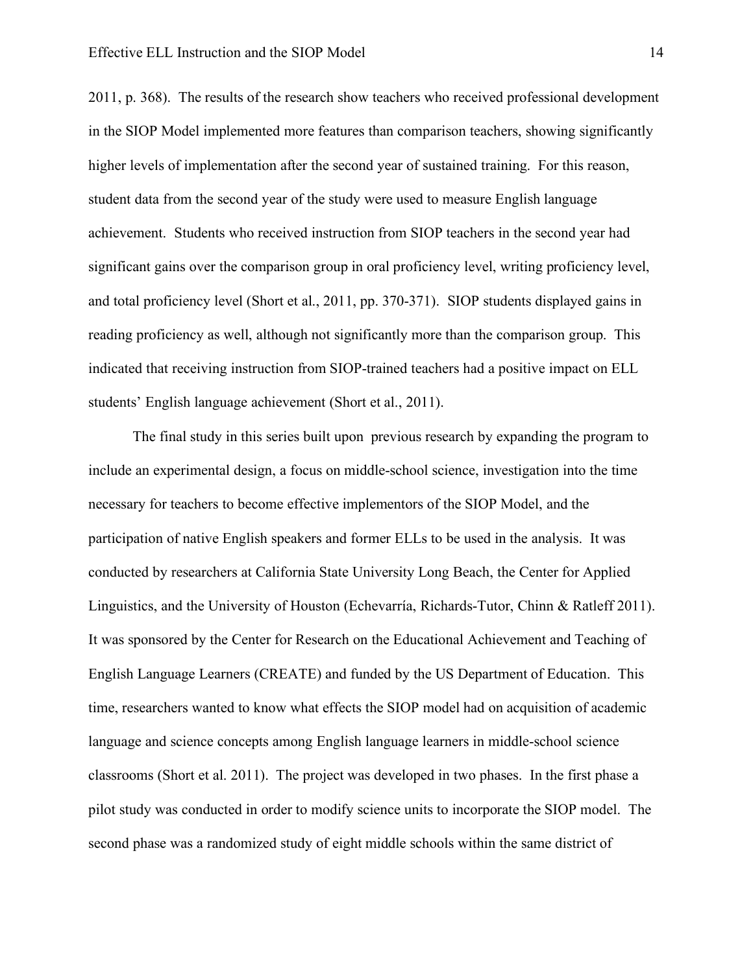2011, p. 368). The results of the research show teachers who received professional development in the SIOP Model implemented more features than comparison teachers, showing significantly higher levels of implementation after the second year of sustained training. For this reason, student data from the second year of the study were used to measure English language achievement. Students who received instruction from SIOP teachers in the second year had significant gains over the comparison group in oral proficiency level, writing proficiency level, and total proficiency level (Short et al., 2011, pp. 370-371). SIOP students displayed gains in reading proficiency as well, although not significantly more than the comparison group. This indicated that receiving instruction from SIOP-trained teachers had a positive impact on ELL students' English language achievement (Short et al., 2011).

The final study in this series built upon previous research by expanding the program to include an experimental design, a focus on middle-school science, investigation into the time necessary for teachers to become effective implementors of the SIOP Model, and the participation of native English speakers and former ELLs to be used in the analysis. It was conducted by researchers at California State University Long Beach, the Center for Applied Linguistics, and the University of Houston (Echevarría, Richards-Tutor, Chinn & Ratleff 2011). It was sponsored by the Center for Research on the Educational Achievement and Teaching of English Language Learners (CREATE) and funded by the US Department of Education. This time, researchers wanted to know what effects the SIOP model had on acquisition of academic language and science concepts among English language learners in middle-school science classrooms (Short et al. 2011). The project was developed in two phases. In the first phase a pilot study was conducted in order to modify science units to incorporate the SIOP model. The second phase was a randomized study of eight middle schools within the same district of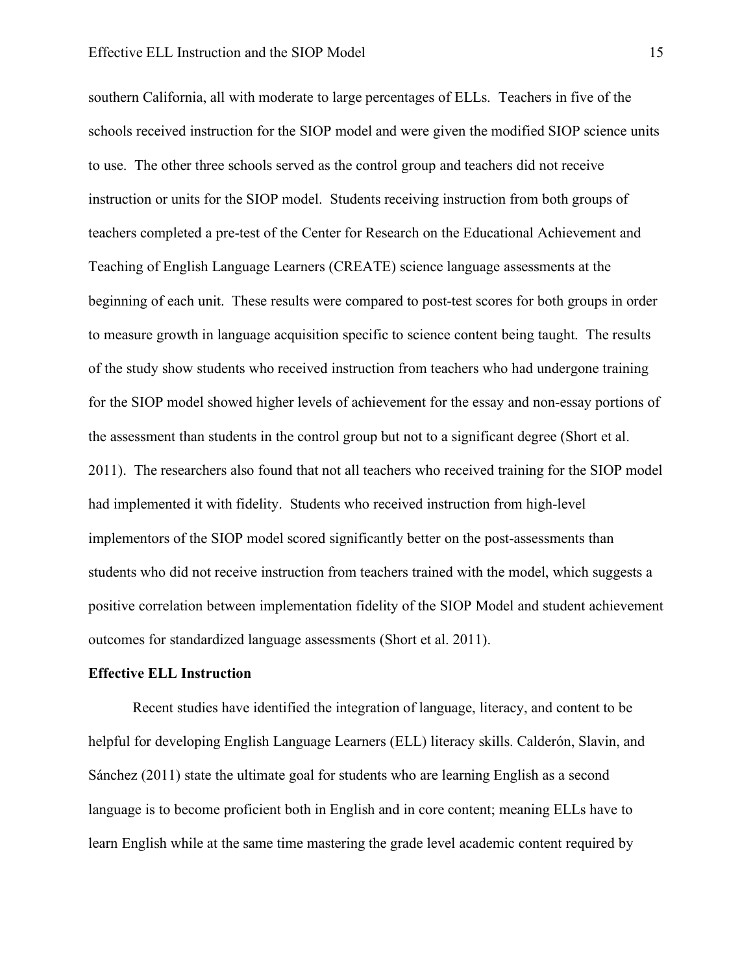southern California, all with moderate to large percentages of ELLs. Teachers in five of the schools received instruction for the SIOP model and were given the modified SIOP science units to use. The other three schools served as the control group and teachers did not receive instruction or units for the SIOP model. Students receiving instruction from both groups of teachers completed a pre-test of the Center for Research on the Educational Achievement and Teaching of English Language Learners (CREATE) science language assessments at the beginning of each unit. These results were compared to post-test scores for both groups in order to measure growth in language acquisition specific to science content being taught. The results of the study show students who received instruction from teachers who had undergone training for the SIOP model showed higher levels of achievement for the essay and non-essay portions of the assessment than students in the control group but not to a significant degree (Short et al. 2011). The researchers also found that not all teachers who received training for the SIOP model had implemented it with fidelity. Students who received instruction from high-level implementors of the SIOP model scored significantly better on the post-assessments than students who did not receive instruction from teachers trained with the model, which suggests a positive correlation between implementation fidelity of the SIOP Model and student achievement outcomes for standardized language assessments (Short et al. 2011).

#### **Effective ELL Instruction**

Recent studies have identified the integration of language, literacy, and content to be helpful for developing English Language Learners (ELL) literacy skills. Calderón, Slavin, and Sánchez (2011) state the ultimate goal for students who are learning English as a second language is to become proficient both in English and in core content; meaning ELLs have to learn English while at the same time mastering the grade level academic content required by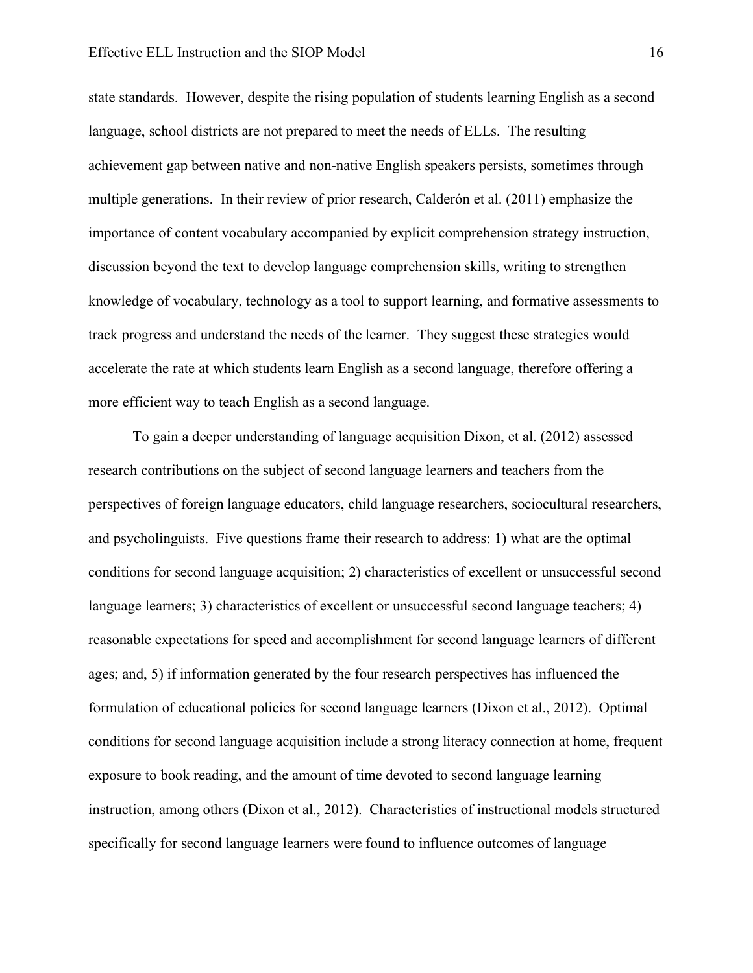#### Effective ELL Instruction and the SIOP Model 16

state standards. However, despite the rising population of students learning English as a second language, school districts are not prepared to meet the needs of ELLs. The resulting achievement gap between native and non-native English speakers persists, sometimes through multiple generations. In their review of prior research, Calderón et al. (2011) emphasize the importance of content vocabulary accompanied by explicit comprehension strategy instruction, discussion beyond the text to develop language comprehension skills, writing to strengthen knowledge of vocabulary, technology as a tool to support learning, and formative assessments to track progress and understand the needs of the learner. They suggest these strategies would accelerate the rate at which students learn English as a second language, therefore offering a more efficient way to teach English as a second language.

To gain a deeper understanding of language acquisition Dixon, et al. (2012) assessed research contributions on the subject of second language learners and teachers from the perspectives of foreign language educators, child language researchers, sociocultural researchers, and psycholinguists. Five questions frame their research to address: 1) what are the optimal conditions for second language acquisition; 2) characteristics of excellent or unsuccessful second language learners; 3) characteristics of excellent or unsuccessful second language teachers; 4) reasonable expectations for speed and accomplishment for second language learners of different ages; and, 5) if information generated by the four research perspectives has influenced the formulation of educational policies for second language learners (Dixon et al., 2012). Optimal conditions for second language acquisition include a strong literacy connection at home, frequent exposure to book reading, and the amount of time devoted to second language learning instruction, among others (Dixon et al., 2012). Characteristics of instructional models structured specifically for second language learners were found to influence outcomes of language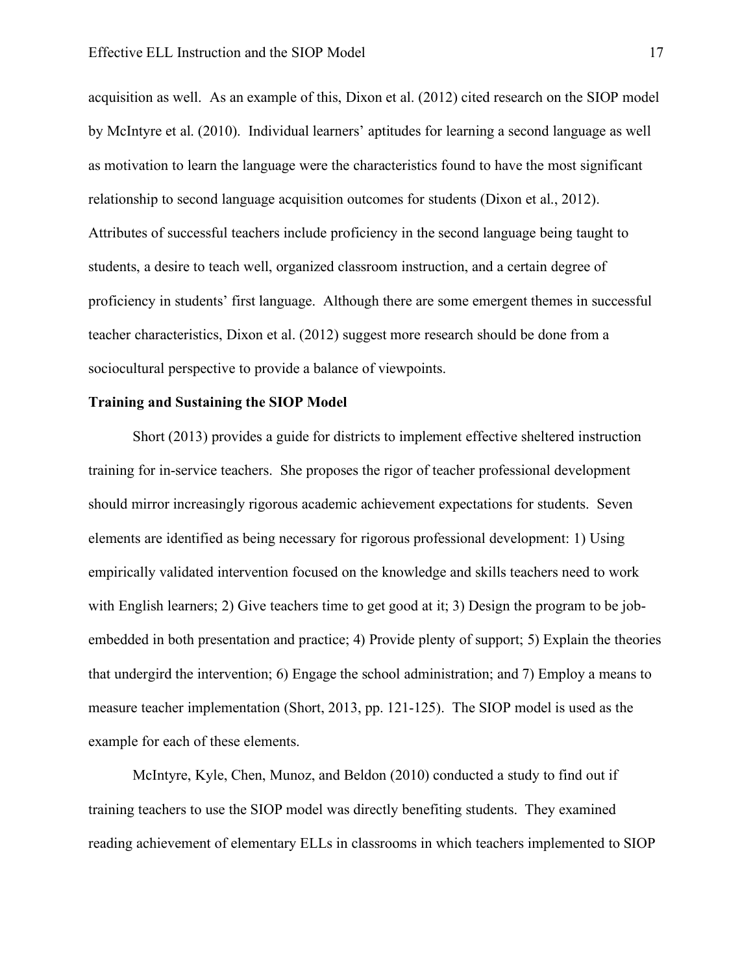acquisition as well. As an example of this, Dixon et al. (2012) cited research on the SIOP model by McIntyre et al. (2010). Individual learners' aptitudes for learning a second language as well as motivation to learn the language were the characteristics found to have the most significant relationship to second language acquisition outcomes for students (Dixon et al., 2012). Attributes of successful teachers include proficiency in the second language being taught to students, a desire to teach well, organized classroom instruction, and a certain degree of proficiency in students' first language. Although there are some emergent themes in successful teacher characteristics, Dixon et al. (2012) suggest more research should be done from a sociocultural perspective to provide a balance of viewpoints.

#### **Training and Sustaining the SIOP Model**

Short (2013) provides a guide for districts to implement effective sheltered instruction training for in-service teachers. She proposes the rigor of teacher professional development should mirror increasingly rigorous academic achievement expectations for students. Seven elements are identified as being necessary for rigorous professional development: 1) Using empirically validated intervention focused on the knowledge and skills teachers need to work with English learners; 2) Give teachers time to get good at it; 3) Design the program to be jobembedded in both presentation and practice; 4) Provide plenty of support; 5) Explain the theories that undergird the intervention; 6) Engage the school administration; and 7) Employ a means to measure teacher implementation (Short, 2013, pp. 121-125). The SIOP model is used as the example for each of these elements.

McIntyre, Kyle, Chen, Munoz, and Beldon (2010) conducted a study to find out if training teachers to use the SIOP model was directly benefiting students. They examined reading achievement of elementary ELLs in classrooms in which teachers implemented to SIOP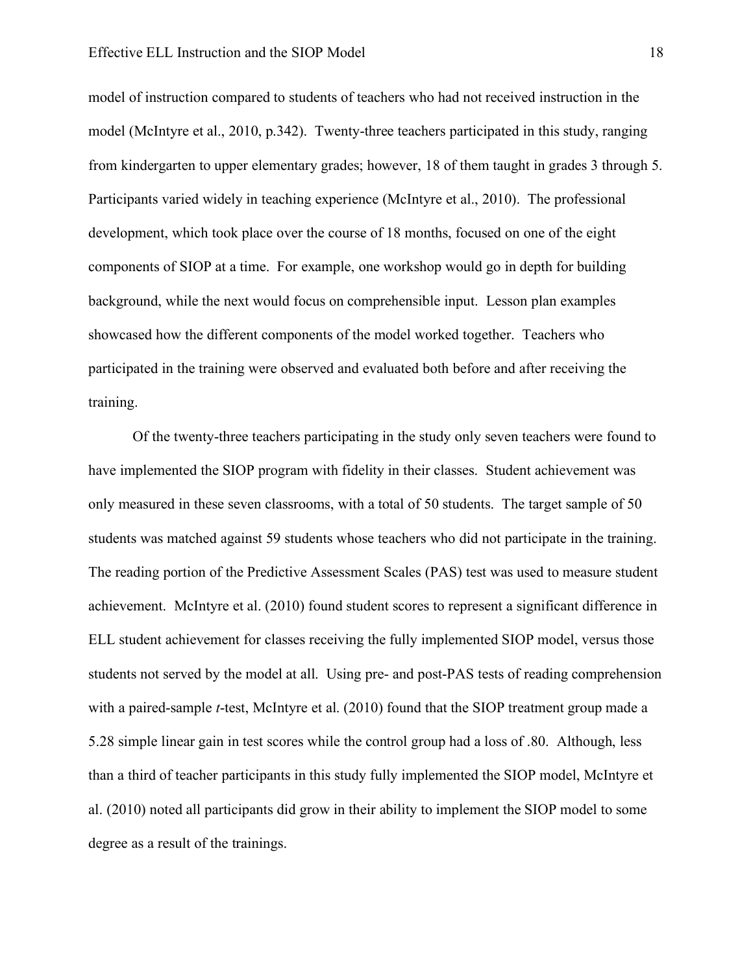model of instruction compared to students of teachers who had not received instruction in the model (McIntyre et al., 2010, p.342). Twenty-three teachers participated in this study, ranging from kindergarten to upper elementary grades; however, 18 of them taught in grades 3 through 5. Participants varied widely in teaching experience (McIntyre et al., 2010). The professional development, which took place over the course of 18 months, focused on one of the eight components of SIOP at a time. For example, one workshop would go in depth for building background, while the next would focus on comprehensible input. Lesson plan examples showcased how the different components of the model worked together. Teachers who participated in the training were observed and evaluated both before and after receiving the training.

Of the twenty-three teachers participating in the study only seven teachers were found to have implemented the SIOP program with fidelity in their classes. Student achievement was only measured in these seven classrooms, with a total of 50 students. The target sample of 50 students was matched against 59 students whose teachers who did not participate in the training. The reading portion of the Predictive Assessment Scales (PAS) test was used to measure student achievement. McIntyre et al. (2010) found student scores to represent a significant difference in ELL student achievement for classes receiving the fully implemented SIOP model, versus those students not served by the model at all. Using pre- and post-PAS tests of reading comprehension with a paired-sample *t*-test, McIntyre et al. (2010) found that the SIOP treatment group made a 5.28 simple linear gain in test scores while the control group had a loss of .80. Although, less than a third of teacher participants in this study fully implemented the SIOP model, McIntyre et al. (2010) noted all participants did grow in their ability to implement the SIOP model to some degree as a result of the trainings.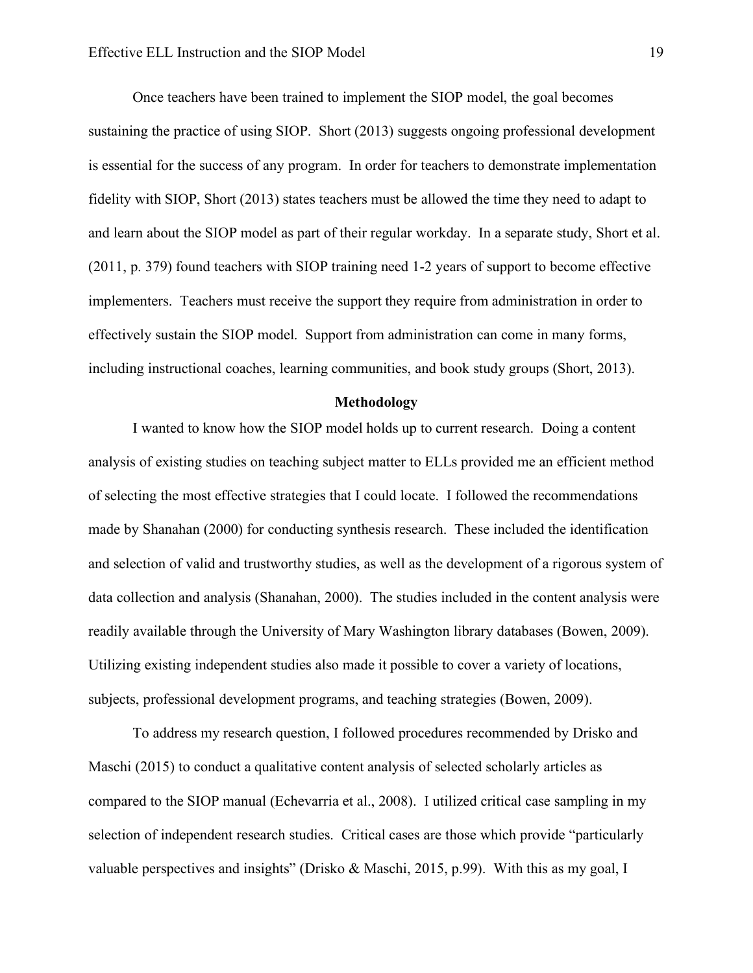Once teachers have been trained to implement the SIOP model, the goal becomes sustaining the practice of using SIOP. Short (2013) suggests ongoing professional development is essential for the success of any program. In order for teachers to demonstrate implementation fidelity with SIOP, Short (2013) states teachers must be allowed the time they need to adapt to and learn about the SIOP model as part of their regular workday. In a separate study, Short et al. (2011, p. 379) found teachers with SIOP training need 1-2 years of support to become effective implementers. Teachers must receive the support they require from administration in order to effectively sustain the SIOP model. Support from administration can come in many forms, including instructional coaches, learning communities, and book study groups (Short, 2013).

#### **Methodology**

I wanted to know how the SIOP model holds up to current research. Doing a content analysis of existing studies on teaching subject matter to ELLs provided me an efficient method of selecting the most effective strategies that I could locate. I followed the recommendations made by Shanahan (2000) for conducting synthesis research. These included the identification and selection of valid and trustworthy studies, as well as the development of a rigorous system of data collection and analysis (Shanahan, 2000). The studies included in the content analysis were readily available through the University of Mary Washington library databases (Bowen, 2009). Utilizing existing independent studies also made it possible to cover a variety of locations, subjects, professional development programs, and teaching strategies (Bowen, 2009).

To address my research question, I followed procedures recommended by Drisko and Maschi (2015) to conduct a qualitative content analysis of selected scholarly articles as compared to the SIOP manual (Echevarria et al., 2008). I utilized critical case sampling in my selection of independent research studies. Critical cases are those which provide "particularly valuable perspectives and insights" (Drisko & Maschi, 2015, p.99). With this as my goal, I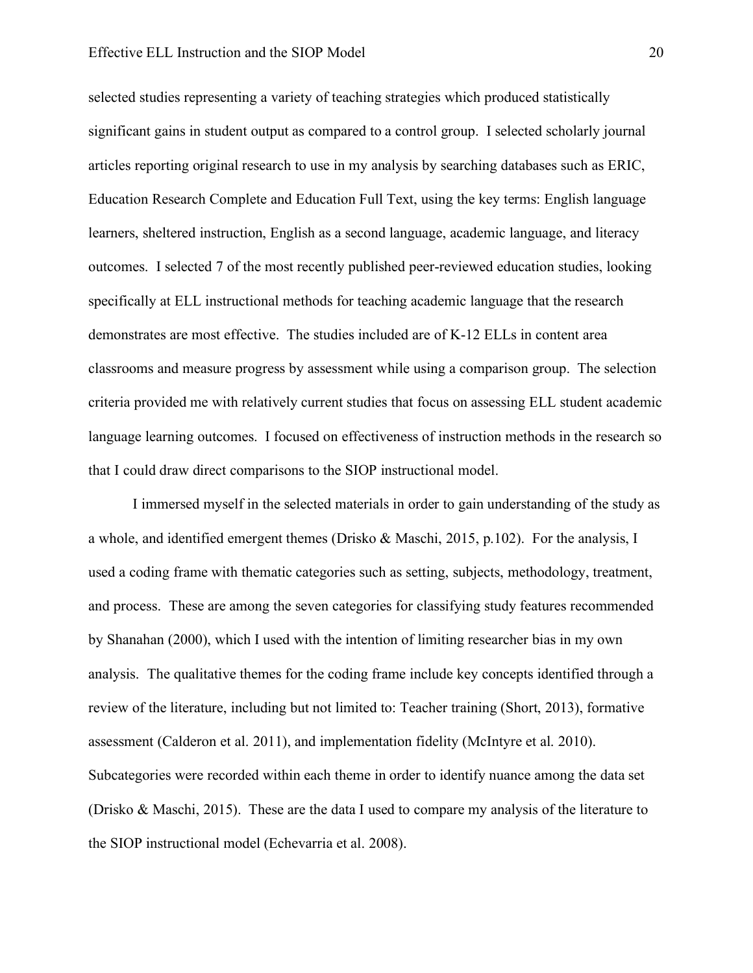#### Effective ELL Instruction and the SIOP Model 20

selected studies representing a variety of teaching strategies which produced statistically significant gains in student output as compared to a control group. I selected scholarly journal articles reporting original research to use in my analysis by searching databases such as ERIC, Education Research Complete and Education Full Text, using the key terms: English language learners, sheltered instruction, English as a second language, academic language, and literacy outcomes. I selected 7 of the most recently published peer-reviewed education studies, looking specifically at ELL instructional methods for teaching academic language that the research demonstrates are most effective. The studies included are of K-12 ELLs in content area classrooms and measure progress by assessment while using a comparison group. The selection criteria provided me with relatively current studies that focus on assessing ELL student academic language learning outcomes. I focused on effectiveness of instruction methods in the research so that I could draw direct comparisons to the SIOP instructional model.

I immersed myself in the selected materials in order to gain understanding of the study as a whole, and identified emergent themes (Drisko & Maschi, 2015, p.102). For the analysis, I used a coding frame with thematic categories such as setting, subjects, methodology, treatment, and process. These are among the seven categories for classifying study features recommended by Shanahan (2000), which I used with the intention of limiting researcher bias in my own analysis. The qualitative themes for the coding frame include key concepts identified through a review of the literature, including but not limited to: Teacher training (Short, 2013), formative assessment (Calderon et al. 2011), and implementation fidelity (McIntyre et al. 2010). Subcategories were recorded within each theme in order to identify nuance among the data set (Drisko & Maschi, 2015). These are the data I used to compare my analysis of the literature to the SIOP instructional model (Echevarria et al. 2008).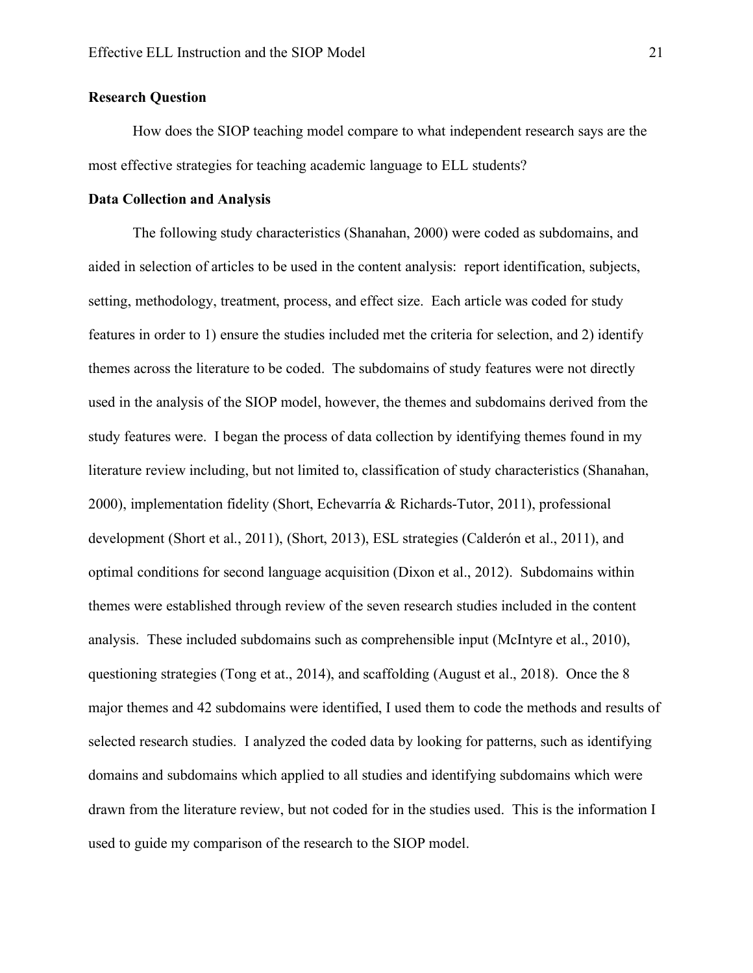## **Research Question**

How does the SIOP teaching model compare to what independent research says are the most effective strategies for teaching academic language to ELL students?

#### **Data Collection and Analysis**

The following study characteristics (Shanahan, 2000) were coded as subdomains, and aided in selection of articles to be used in the content analysis: report identification, subjects, setting, methodology, treatment, process, and effect size. Each article was coded for study features in order to 1) ensure the studies included met the criteria for selection, and 2) identify themes across the literature to be coded. The subdomains of study features were not directly used in the analysis of the SIOP model, however, the themes and subdomains derived from the study features were. I began the process of data collection by identifying themes found in my literature review including, but not limited to, classification of study characteristics (Shanahan, 2000), implementation fidelity (Short, Echevarría & Richards-Tutor, 2011), professional development (Short et al., 2011), (Short, 2013), ESL strategies (Calderón et al., 2011), and optimal conditions for second language acquisition (Dixon et al., 2012). Subdomains within themes were established through review of the seven research studies included in the content analysis. These included subdomains such as comprehensible input (McIntyre et al., 2010), questioning strategies (Tong et at., 2014), and scaffolding (August et al., 2018). Once the 8 major themes and 42 subdomains were identified, I used them to code the methods and results of selected research studies. I analyzed the coded data by looking for patterns, such as identifying domains and subdomains which applied to all studies and identifying subdomains which were drawn from the literature review, but not coded for in the studies used. This is the information I used to guide my comparison of the research to the SIOP model.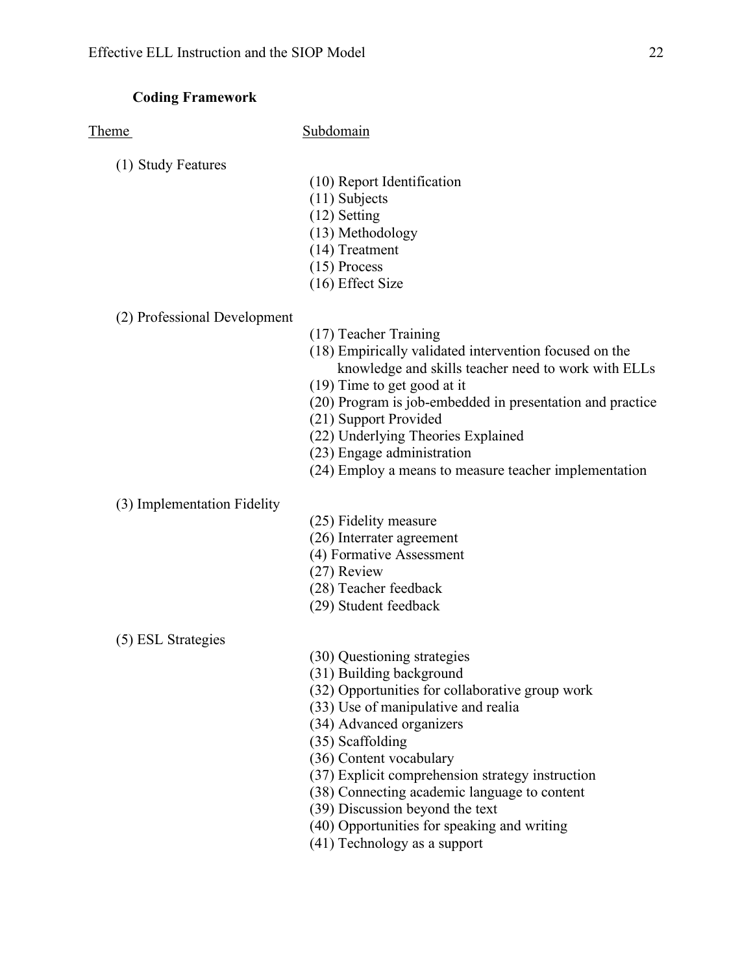# **Coding Framework**

Theme Subdomain

- (1) Study Features
- (10) Report Identification
- (11) Subjects
- (12) Setting
- (13) Methodology
- (14) Treatment
- (15) Process
- (16) Effect Size

### (2) Professional Development

- (17) Teacher Training
- (18) Empirically validated intervention focused on the knowledge and skills teacher need to work with ELLs
- (19) Time to get good at it
- (20) Program is job-embedded in presentation and practice
- (21) Support Provided
- (22) Underlying Theories Explained
- (23) Engage administration
- (24) Employ a means to measure teacher implementation

### (3) Implementation Fidelity

- (25) Fidelity measure
- (26) Interrater agreement
- (4) Formative Assessment
- (27) Review
- (28) Teacher feedback
- (29) Student feedback

(5) ESL Strategies

- (30) Questioning strategies
- (31) Building background
- (32) Opportunities for collaborative group work
- (33) Use of manipulative and realia
- (34) Advanced organizers
- (35) Scaffolding
- (36) Content vocabulary
- (37) Explicit comprehension strategy instruction
- (38) Connecting academic language to content
- (39) Discussion beyond the text
- (40) Opportunities for speaking and writing
- (41) Technology as a support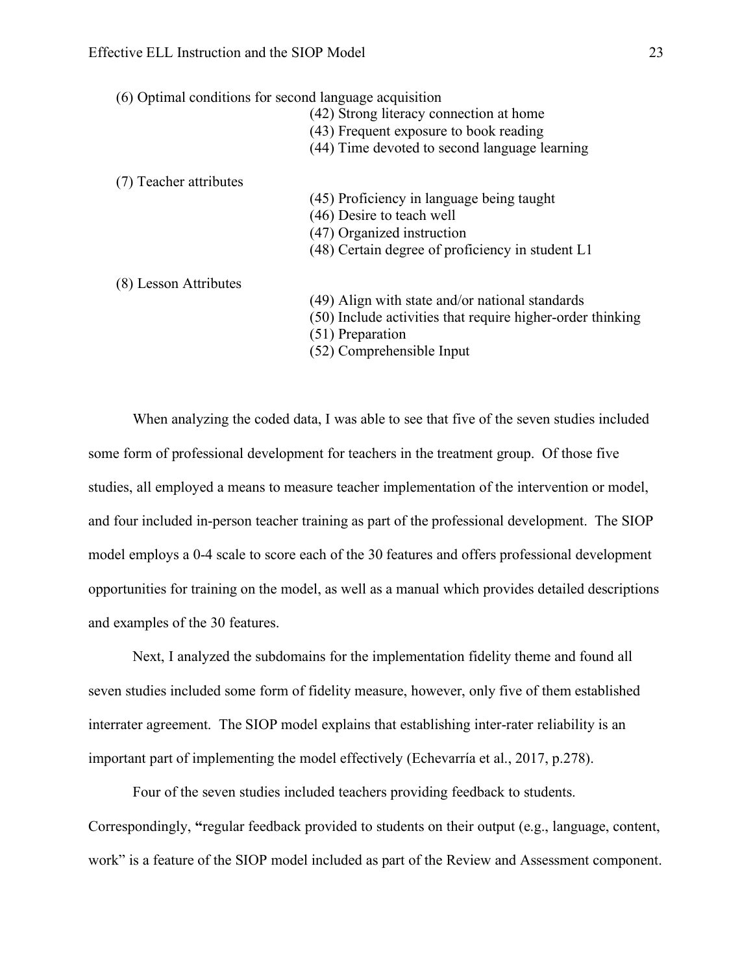(6) Optimal conditions for second language acquisition

- (42) Strong literacy connection at home
- (43) Frequent exposure to book reading
- (44) Time devoted to second language learning

(7) Teacher attributes

- (45) Proficiency in language being taught
- (46) Desire to teach well
- (47) Organized instruction
- (48) Certain degree of proficiency in student L1

(8) Lesson Attributes

- (49) Align with state and/or national standards
- (50) Include activities that require higher-order thinking
- (51) Preparation
- (52) Comprehensible Input

When analyzing the coded data, I was able to see that five of the seven studies included some form of professional development for teachers in the treatment group. Of those five studies, all employed a means to measure teacher implementation of the intervention or model, and four included in-person teacher training as part of the professional development. The SIOP model employs a 0-4 scale to score each of the 30 features and offers professional development opportunities for training on the model, as well as a manual which provides detailed descriptions and examples of the 30 features.

Next, I analyzed the subdomains for the implementation fidelity theme and found all seven studies included some form of fidelity measure, however, only five of them established interrater agreement. The SIOP model explains that establishing inter-rater reliability is an important part of implementing the model effectively (Echevarría et al., 2017, p.278).

Four of the seven studies included teachers providing feedback to students. Correspondingly, **"**regular feedback provided to students on their output (e.g., language, content, work" is a feature of the SIOP model included as part of the Review and Assessment component.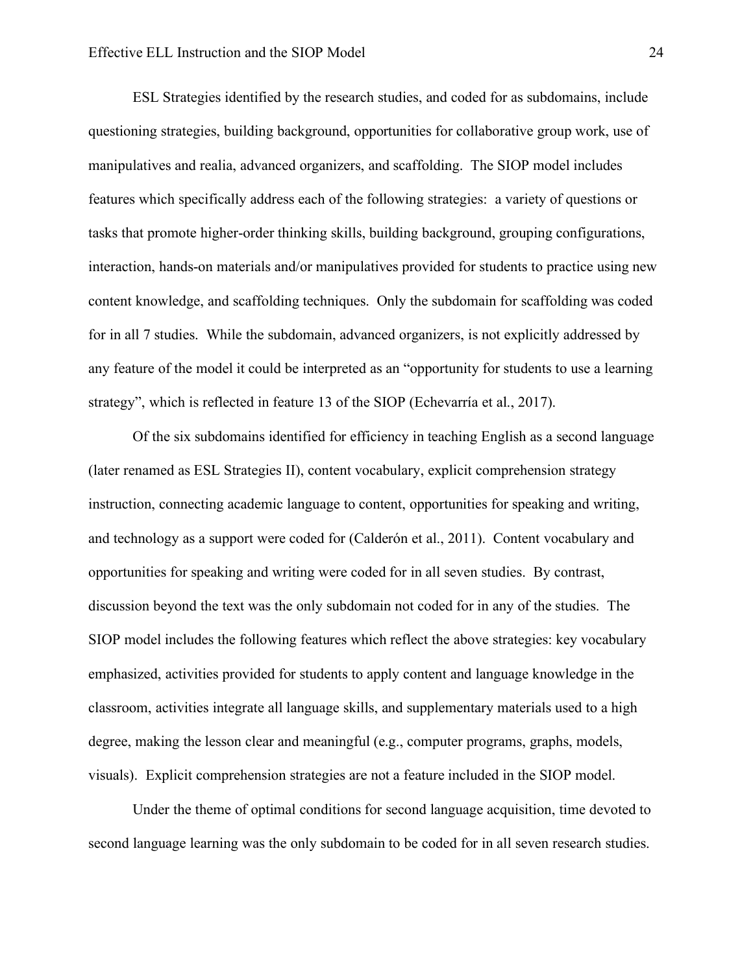ESL Strategies identified by the research studies, and coded for as subdomains, include questioning strategies, building background, opportunities for collaborative group work, use of manipulatives and realia, advanced organizers, and scaffolding. The SIOP model includes features which specifically address each of the following strategies: a variety of questions or tasks that promote higher-order thinking skills, building background, grouping configurations, interaction, hands-on materials and/or manipulatives provided for students to practice using new content knowledge, and scaffolding techniques. Only the subdomain for scaffolding was coded for in all 7 studies. While the subdomain, advanced organizers, is not explicitly addressed by any feature of the model it could be interpreted as an "opportunity for students to use a learning strategy", which is reflected in feature 13 of the SIOP (Echevarría et al., 2017).

Of the six subdomains identified for efficiency in teaching English as a second language (later renamed as ESL Strategies II), content vocabulary, explicit comprehension strategy instruction, connecting academic language to content, opportunities for speaking and writing, and technology as a support were coded for (Calderón et al., 2011). Content vocabulary and opportunities for speaking and writing were coded for in all seven studies. By contrast, discussion beyond the text was the only subdomain not coded for in any of the studies. The SIOP model includes the following features which reflect the above strategies: key vocabulary emphasized, activities provided for students to apply content and language knowledge in the classroom, activities integrate all language skills, and supplementary materials used to a high degree, making the lesson clear and meaningful (e.g., computer programs, graphs, models, visuals). Explicit comprehension strategies are not a feature included in the SIOP model.

Under the theme of optimal conditions for second language acquisition, time devoted to second language learning was the only subdomain to be coded for in all seven research studies.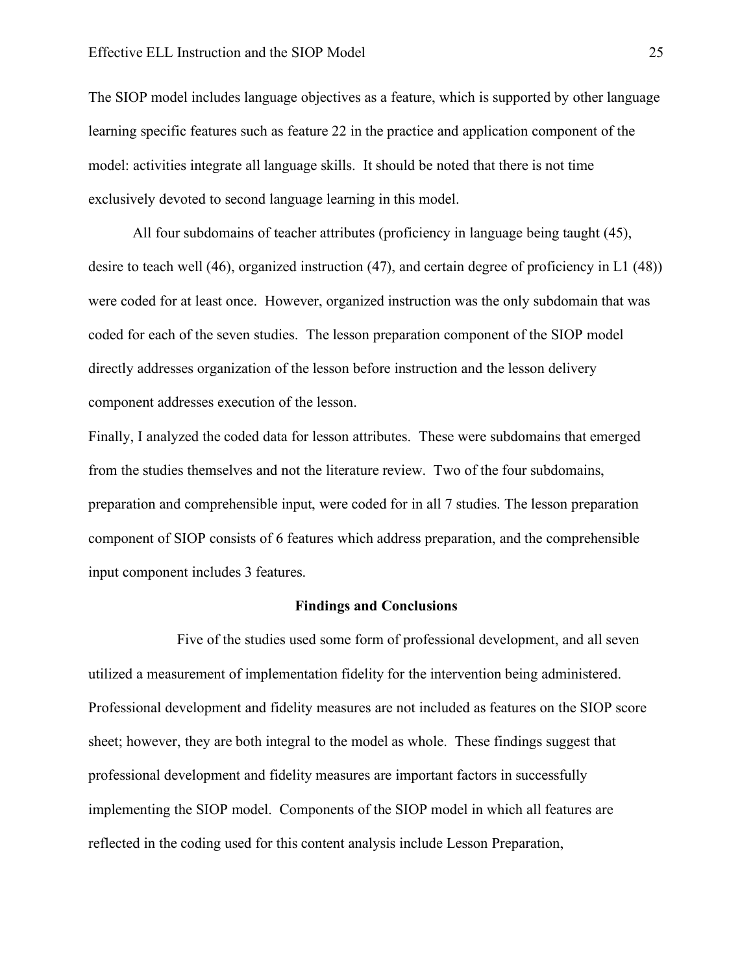The SIOP model includes language objectives as a feature, which is supported by other language learning specific features such as feature 22 in the practice and application component of the model: activities integrate all language skills. It should be noted that there is not time exclusively devoted to second language learning in this model.

All four subdomains of teacher attributes (proficiency in language being taught (45), desire to teach well (46), organized instruction (47), and certain degree of proficiency in L1 (48)) were coded for at least once. However, organized instruction was the only subdomain that was coded for each of the seven studies. The lesson preparation component of the SIOP model directly addresses organization of the lesson before instruction and the lesson delivery component addresses execution of the lesson.

Finally, I analyzed the coded data for lesson attributes. These were subdomains that emerged from the studies themselves and not the literature review. Two of the four subdomains, preparation and comprehensible input, were coded for in all 7 studies. The lesson preparation component of SIOP consists of 6 features which address preparation, and the comprehensible input component includes 3 features.

#### **Findings and Conclusions**

Five of the studies used some form of professional development, and all seven utilized a measurement of implementation fidelity for the intervention being administered. Professional development and fidelity measures are not included as features on the SIOP score sheet; however, they are both integral to the model as whole. These findings suggest that professional development and fidelity measures are important factors in successfully implementing the SIOP model. Components of the SIOP model in which all features are reflected in the coding used for this content analysis include Lesson Preparation,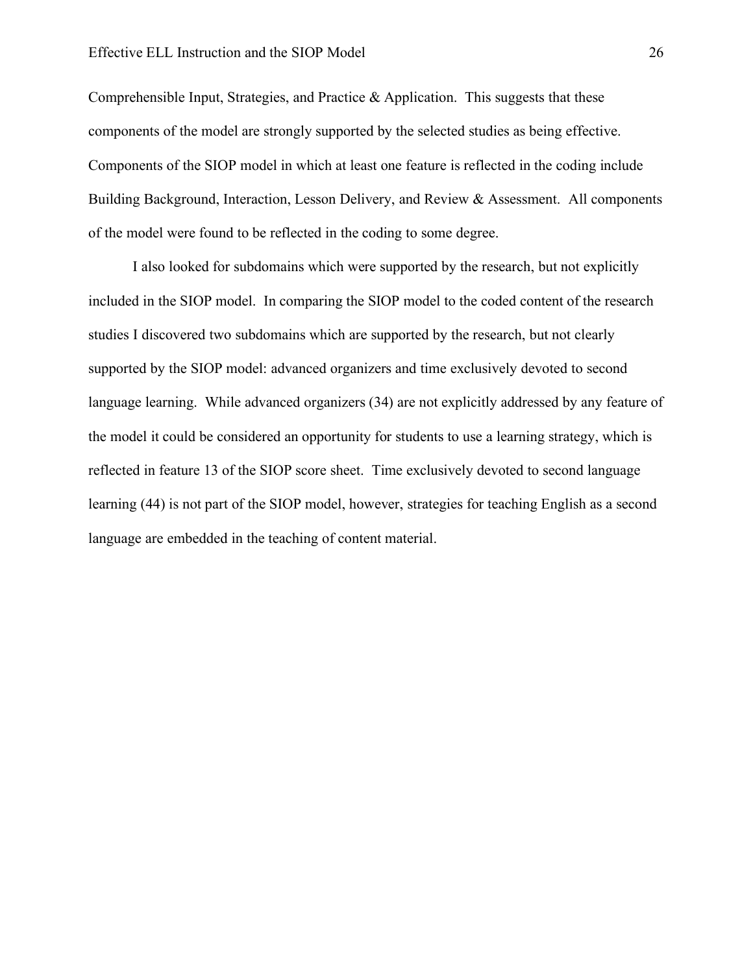Comprehensible Input, Strategies, and Practice  $\&$  Application. This suggests that these components of the model are strongly supported by the selected studies as being effective. Components of the SIOP model in which at least one feature is reflected in the coding include Building Background, Interaction, Lesson Delivery, and Review & Assessment. All components of the model were found to be reflected in the coding to some degree.

I also looked for subdomains which were supported by the research, but not explicitly included in the SIOP model. In comparing the SIOP model to the coded content of the research studies I discovered two subdomains which are supported by the research, but not clearly supported by the SIOP model: advanced organizers and time exclusively devoted to second language learning. While advanced organizers (34) are not explicitly addressed by any feature of the model it could be considered an opportunity for students to use a learning strategy, which is reflected in feature 13 of the SIOP score sheet. Time exclusively devoted to second language learning (44) is not part of the SIOP model, however, strategies for teaching English as a second language are embedded in the teaching of content material.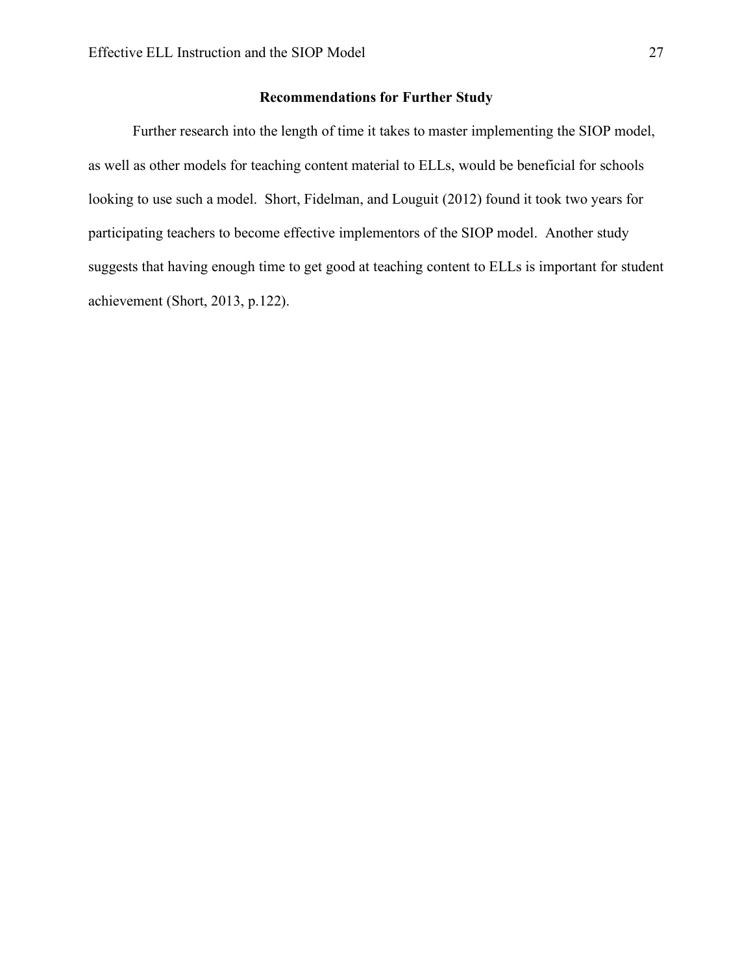# **Recommendations for Further Study**

Further research into the length of time it takes to master implementing the SIOP model, as well as other models for teaching content material to ELLs, would be beneficial for schools looking to use such a model. Short, Fidelman, and Louguit (2012) found it took two years for participating teachers to become effective implementors of the SIOP model. Another study suggests that having enough time to get good at teaching content to ELLs is important for student achievement (Short, 2013, p.122).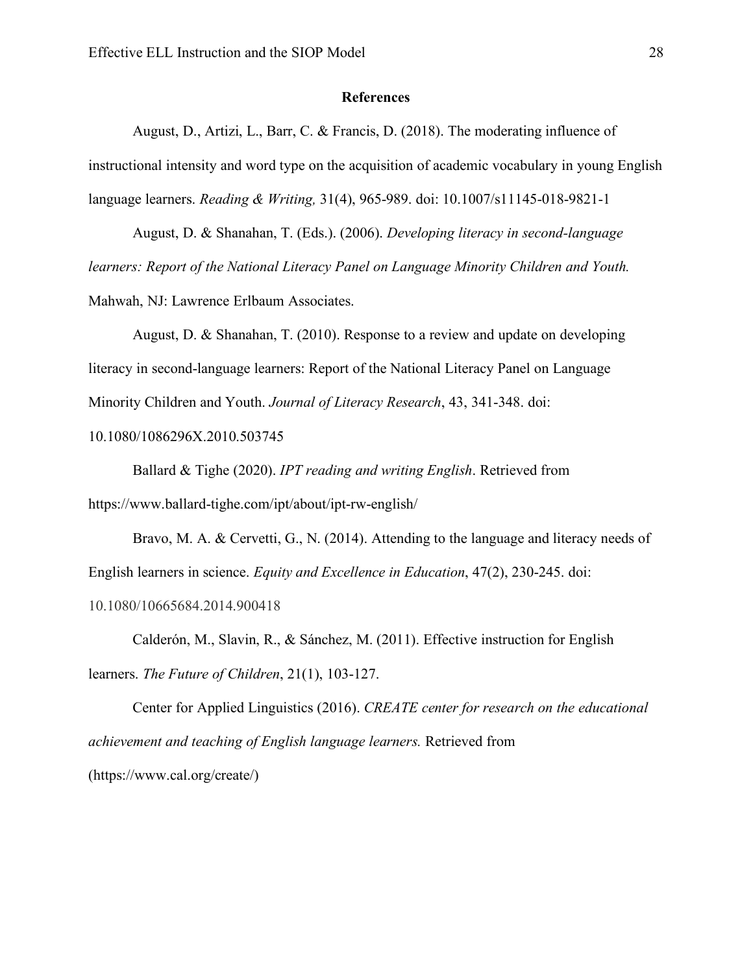#### **References**

August, D., Artizi, L., Barr, C. & Francis, D. (2018). The moderating influence of instructional intensity and word type on the acquisition of academic vocabulary in young English language learners. *Reading & Writing,* 31(4), 965-989. doi: 10.1007/s11145-018-9821-1

August, D. & Shanahan, T. (Eds.). (2006). *Developing literacy in second-language learners: Report of the National Literacy Panel on Language Minority Children and Youth.*  Mahwah, NJ: Lawrence Erlbaum Associates.

August, D. & Shanahan, T. (2010). Response to a review and update on developing literacy in second-language learners: Report of the National Literacy Panel on Language Minority Children and Youth. *Journal of Literacy Research*, 43, 341-348. doi:

10.1080/1086296X.2010.503745

Ballard & Tighe (2020). *IPT reading and writing English*. Retrieved from https://www.ballard-tighe.com/ipt/about/ipt-rw-english/

Bravo, M. A. & Cervetti, G., N. (2014). Attending to the language and literacy needs of English learners in science. *Equity and Excellence in Education*, 47(2), 230-245. doi:

10.1080/10665684.2014.900418

Calderón, M., Slavin, R., & Sánchez, M. (2011). Effective instruction for English learners. *The Future of Children*, 21(1), 103-127.

Center for Applied Linguistics (2016). *CREATE center for research on the educational achievement and teaching of English language learners.* Retrieved from (https://www.cal.org/create/)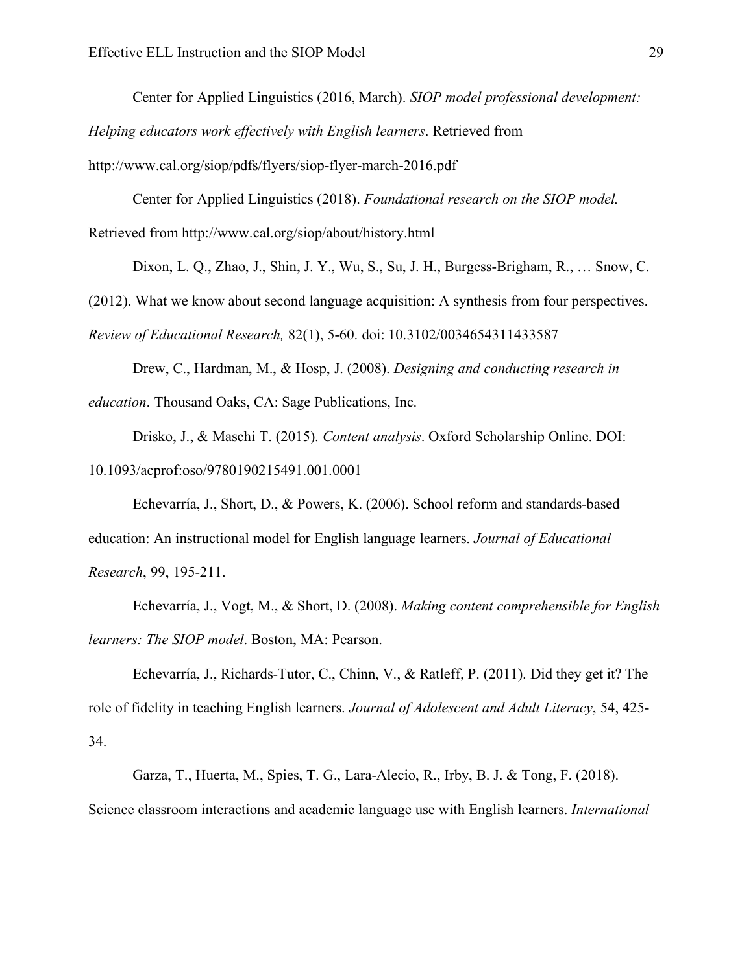Center for Applied Linguistics (2016, March). *SIOP model professional development:* 

*Helping educators work effectively with English learners*. Retrieved from

http://www.cal.org/siop/pdfs/flyers/siop-flyer-march-2016.pdf

Center for Applied Linguistics (2018). *Foundational research on the SIOP model.* 

Retrieved from http://www.cal.org/siop/about/history.html

Dixon, L. Q., Zhao, J., Shin, J. Y., Wu, S., Su, J. H., Burgess-Brigham, R., … Snow, C.

(2012). What we know about second language acquisition: A synthesis from four perspectives.

*Review of Educational Research,* 82(1), 5-60. doi: 10.3102/0034654311433587

Drew, C., Hardman, M., & Hosp, J. (2008). *Designing and conducting research in education*. Thousand Oaks, CA: Sage Publications, Inc.

Drisko, J., & Maschi T. (2015). *Content analysis*. Oxford Scholarship Online. DOI: 10.1093/acprof:oso/9780190215491.001.0001

Echevarría, J., Short, D., & Powers, K. (2006). School reform and standards-based education: An instructional model for English language learners. *Journal of Educational Research*, 99, 195-211.

Echevarría, J., Vogt, M., & Short, D. (2008). *Making content comprehensible for English learners: The SIOP model*. Boston, MA: Pearson.

Echevarría, J., Richards-Tutor, C., Chinn, V., & Ratleff, P. (2011). Did they get it? The role of fidelity in teaching English learners. *Journal of Adolescent and Adult Literacy*, 54, 425- 34.

Garza, T., Huerta, M., Spies, T. G., Lara-Alecio, R., Irby, B. J. & Tong, F. (2018). Science classroom interactions and academic language use with English learners. *International*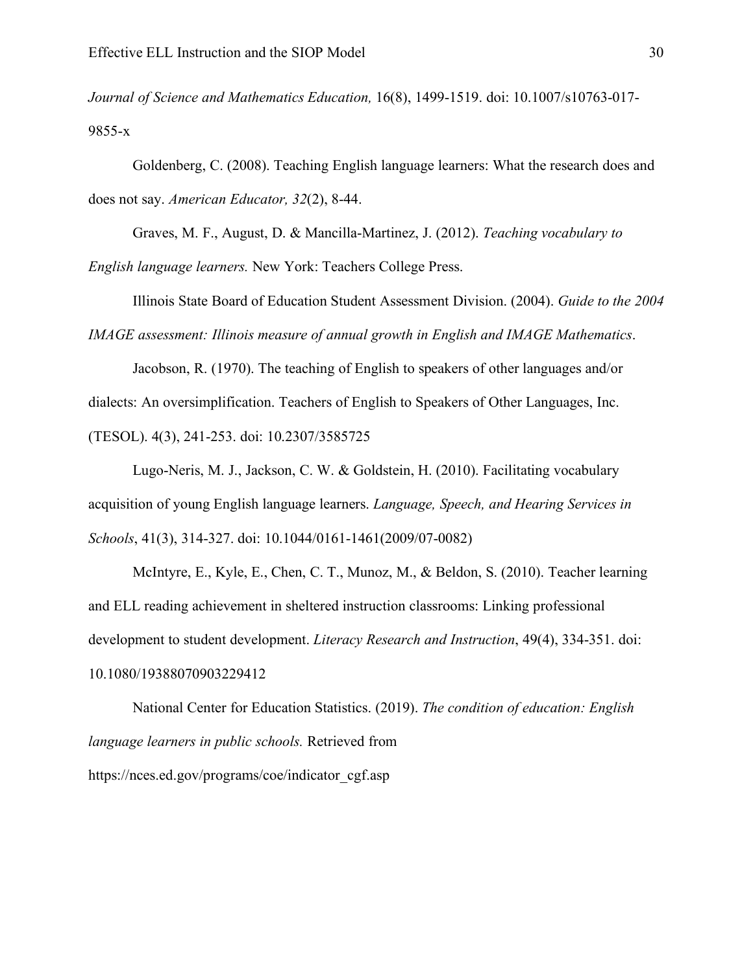*Journal of Science and Mathematics Education,* 16(8), 1499-1519. doi: 10.1007/s10763-017- 9855-x

Goldenberg, C. (2008). Teaching English language learners: What the research does and does not say. *American Educator, 32*(2), 8-44.

Graves, M. F., August, D. & Mancilla-Martinez, J. (2012). *Teaching vocabulary to English language learners.* New York: Teachers College Press.

Illinois State Board of Education Student Assessment Division. (2004). *Guide to the 2004 IMAGE assessment: Illinois measure of annual growth in English and IMAGE Mathematics*.

Jacobson, R. (1970). The teaching of English to speakers of other languages and/or dialects: An oversimplification. Teachers of English to Speakers of Other Languages, Inc. (TESOL). 4(3), 241-253. doi: 10.2307/3585725

Lugo-Neris, M. J., Jackson, C. W. & Goldstein, H. (2010). Facilitating vocabulary acquisition of young English language learners. *Language, Speech, and Hearing Services in Schools*, 41(3), 314-327. doi: 10.1044/0161-1461(2009/07-0082)

McIntyre, E., Kyle, E., Chen, C. T., Munoz, M., & Beldon, S. (2010). Teacher learning and ELL reading achievement in sheltered instruction classrooms: Linking professional development to student development. *Literacy Research and Instruction*, 49(4), 334-351. doi: 10.1080/19388070903229412

National Center for Education Statistics. (2019). *The condition of education: English language learners in public schools.* Retrieved from https://nces.ed.gov/programs/coe/indicator\_cgf.asp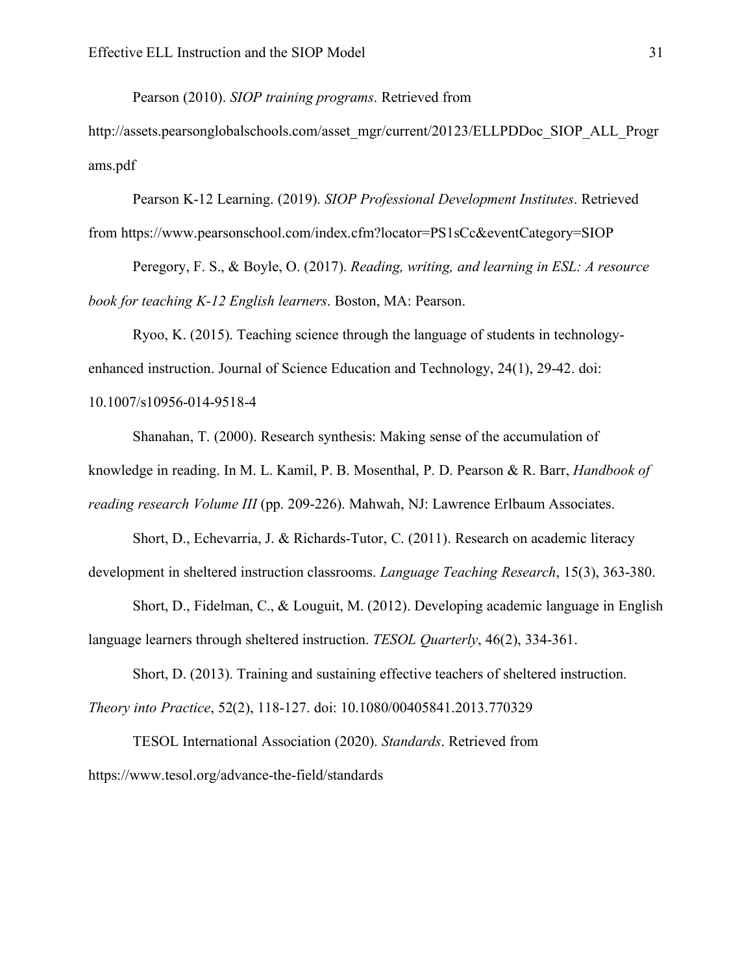Pearson (2010). *SIOP training programs*. Retrieved from

http://assets.pearsonglobalschools.com/asset\_mgr/current/20123/ELLPDDoc\_SIOP\_ALL\_Progr ams.pdf

Pearson K-12 Learning. (2019). *SIOP Professional Development Institutes*. Retrieved from https://www.pearsonschool.com/index.cfm?locator=PS1sCc&eventCategory=SIOP

Peregory, F. S., & Boyle, O. (2017). *Reading, writing, and learning in ESL: A resource book for teaching K-12 English learners*. Boston, MA: Pearson.

Ryoo, K. (2015). Teaching science through the language of students in technologyenhanced instruction. Journal of Science Education and Technology, 24(1), 29-42. doi: 10.1007/s10956-014-9518-4

Shanahan, T. (2000). Research synthesis: Making sense of the accumulation of

knowledge in reading. In M. L. Kamil, P. B. Mosenthal, P. D. Pearson & R. Barr, *Handbook of* 

*reading research Volume III* (pp. 209-226). Mahwah, NJ: Lawrence Erlbaum Associates.

Short, D., Echevarria, J. & Richards-Tutor, C. (2011). Research on academic literacy development in sheltered instruction classrooms. *Language Teaching Research*, 15(3), 363-380.

Short, D., Fidelman, C., & Louguit, M. (2012). Developing academic language in English language learners through sheltered instruction. *TESOL Quarterly*, 46(2), 334-361.

Short, D. (2013). Training and sustaining effective teachers of sheltered instruction.

*Theory into Practice*, 52(2), 118-127. doi: 10.1080/00405841.2013.770329

TESOL International Association (2020). *Standards*. Retrieved from https://www.tesol.org/advance-the-field/standards